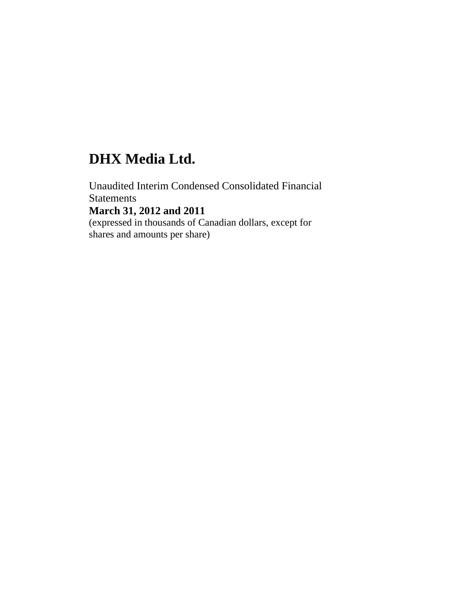# **DHX Media Ltd.**

Unaudited Interim Condensed Consolidated Financial **Statements March 31, 2012 and 2011**  (expressed in thousands of Canadian dollars, except for shares and amounts per share)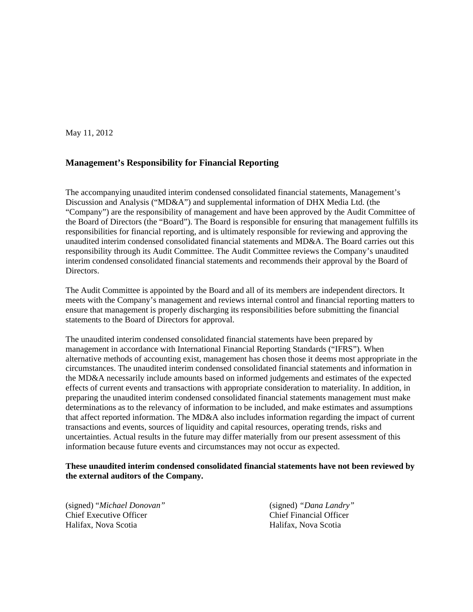May 11, 2012

## **Management's Responsibility for Financial Reporting**

The accompanying unaudited interim condensed consolidated financial statements, Management's Discussion and Analysis ("MD&A") and supplemental information of DHX Media Ltd. (the "Company") are the responsibility of management and have been approved by the Audit Committee of the Board of Directors (the "Board"). The Board is responsible for ensuring that management fulfills its responsibilities for financial reporting, and is ultimately responsible for reviewing and approving the unaudited interim condensed consolidated financial statements and MD&A. The Board carries out this responsibility through its Audit Committee. The Audit Committee reviews the Company's unaudited interim condensed consolidated financial statements and recommends their approval by the Board of Directors.

The Audit Committee is appointed by the Board and all of its members are independent directors. It meets with the Company's management and reviews internal control and financial reporting matters to ensure that management is properly discharging its responsibilities before submitting the financial statements to the Board of Directors for approval.

The unaudited interim condensed consolidated financial statements have been prepared by management in accordance with International Financial Reporting Standards ("IFRS"). When alternative methods of accounting exist, management has chosen those it deems most appropriate in the circumstances. The unaudited interim condensed consolidated financial statements and information in the MD&A necessarily include amounts based on informed judgements and estimates of the expected effects of current events and transactions with appropriate consideration to materiality. In addition, in preparing the unaudited interim condensed consolidated financial statements management must make determinations as to the relevancy of information to be included, and make estimates and assumptions that affect reported information. The MD&A also includes information regarding the impact of current transactions and events, sources of liquidity and capital resources, operating trends, risks and uncertainties. Actual results in the future may differ materially from our present assessment of this information because future events and circumstances may not occur as expected.

#### **These unaudited interim condensed consolidated financial statements have not been reviewed by the external auditors of the Company.**

(signed) "*Michael Donovan"* (signed) *"Dana Landry"* Chief Executive Officer Chief Financial Officer Halifax, Nova Scotia Halifax, Nova Scotia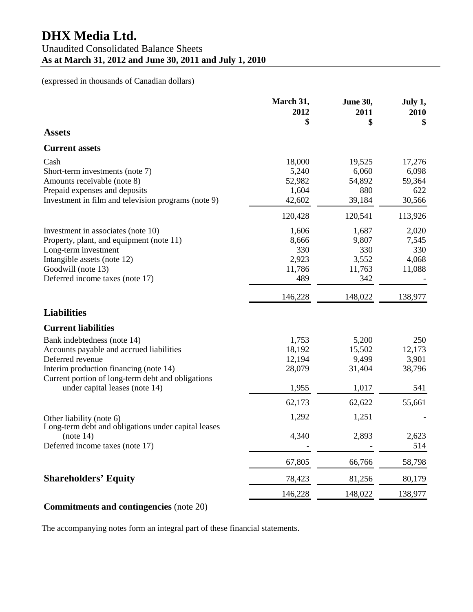|                                                                                                                                                                                                                              | March 31,<br>2012<br>\$                         | <b>June 30,</b><br>2011<br>\$                   | July 1,<br>2010<br>\$                      |
|------------------------------------------------------------------------------------------------------------------------------------------------------------------------------------------------------------------------------|-------------------------------------------------|-------------------------------------------------|--------------------------------------------|
| <b>Assets</b>                                                                                                                                                                                                                |                                                 |                                                 |                                            |
| <b>Current assets</b>                                                                                                                                                                                                        |                                                 |                                                 |                                            |
| Cash<br>Short-term investments (note 7)<br>Amounts receivable (note 8)<br>Prepaid expenses and deposits<br>Investment in film and television programs (note 9)                                                               | 18,000<br>5,240<br>52,982<br>1,604<br>42,602    | 19,525<br>6,060<br>54,892<br>880<br>39,184      | 17,276<br>6,098<br>59,364<br>622<br>30,566 |
|                                                                                                                                                                                                                              | 120,428                                         | 120,541                                         | 113,926                                    |
| Investment in associates (note 10)<br>Property, plant, and equipment (note 11)<br>Long-term investment<br>Intangible assets (note 12)<br>Goodwill (note 13)<br>Deferred income taxes (note 17)                               | 1,606<br>8,666<br>330<br>2,923<br>11,786<br>489 | 1,687<br>9,807<br>330<br>3,552<br>11,763<br>342 | 2,020<br>7,545<br>330<br>4,068<br>11,088   |
|                                                                                                                                                                                                                              | 146,228                                         | 148,022                                         | 138,977                                    |
| <b>Liabilities</b>                                                                                                                                                                                                           |                                                 |                                                 |                                            |
| <b>Current liabilities</b>                                                                                                                                                                                                   |                                                 |                                                 |                                            |
| Bank indebtedness (note 14)<br>Accounts payable and accrued liabilities<br>Deferred revenue<br>Interim production financing (note 14)<br>Current portion of long-term debt and obligations<br>under capital leases (note 14) | 1,753<br>18,192<br>12,194<br>28,079<br>1,955    | 5,200<br>15,502<br>9,499<br>31,404<br>1,017     | 250<br>12,173<br>3,901<br>38,796<br>541    |
|                                                                                                                                                                                                                              | 62,173                                          | 62,622                                          | 55,661                                     |
| Other liability (note 6)<br>Long-term debt and obligations under capital leases                                                                                                                                              | 1,292                                           | 1,251                                           |                                            |
| (note 14)<br>Deferred income taxes (note 17)                                                                                                                                                                                 | 4,340                                           | 2,893                                           | 2,623<br>514                               |
|                                                                                                                                                                                                                              | 67,805                                          | 66,766                                          | 58,798                                     |
| <b>Shareholders' Equity</b>                                                                                                                                                                                                  | 78,423                                          | 81,256                                          | 80,179                                     |
|                                                                                                                                                                                                                              | 146,228                                         | 148,022                                         | 138,977                                    |
| <b>Commitments and contingencies</b> (note 20)                                                                                                                                                                               |                                                 |                                                 |                                            |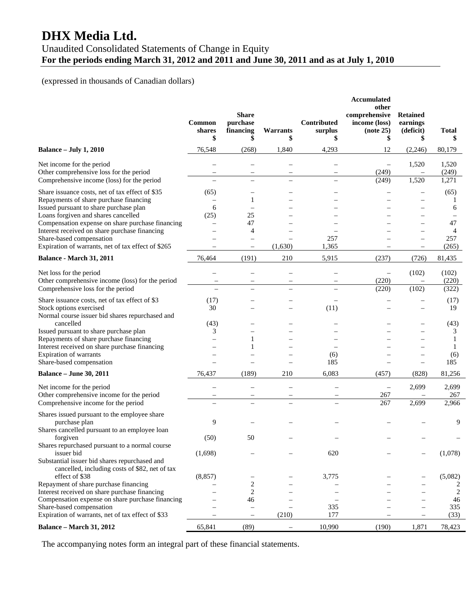# **DHX Media Ltd.**

# Unaudited Consolidated Statements of Change in Equity **For the periods ending March 31, 2012 and 2011 and June 30, 2011 and as at July 1, 2010**

# (expressed in thousands of Canadian dollars)

|                                                                                                                                                                                                                                                                                                                                                                   | Common<br>shares<br>\$ | <b>Share</b><br>purchase<br>financing<br>\$          | Warrants<br>\$                                       | Contributed<br>surplus<br>\$ | Accumulated<br>other<br>comprehensive<br>income (loss)<br>(note 25)<br>\$ | <b>Retained</b><br>earnings<br>(deficit)<br>\$ | <b>Total</b><br>\$                        |
|-------------------------------------------------------------------------------------------------------------------------------------------------------------------------------------------------------------------------------------------------------------------------------------------------------------------------------------------------------------------|------------------------|------------------------------------------------------|------------------------------------------------------|------------------------------|---------------------------------------------------------------------------|------------------------------------------------|-------------------------------------------|
| <b>Balance - July 1, 2010</b>                                                                                                                                                                                                                                                                                                                                     | 76,548                 | (268)                                                | 1,840                                                | 4,293                        | 12                                                                        | (2,246)                                        | 80,179                                    |
| Net income for the period<br>Other comprehensive loss for the period<br>Comprehensive income (loss) for the period                                                                                                                                                                                                                                                |                        | $\overline{\phantom{0}}$                             | $\overline{\phantom{0}}$                             |                              | $\equiv$<br>(249)<br>(249)                                                | 1,520<br>1,520                                 | 1,520<br>(249)<br>1,271                   |
| Share issuance costs, net of tax effect of \$35<br>Repayments of share purchase financing<br>Issued pursuant to share purchase plan<br>Loans forgiven and shares cancelled<br>Compensation expense on share purchase financing<br>Interest received on share purchase financing<br>Share-based compensation<br>Expiration of warrants, net of tax effect of \$265 | (65)<br>6<br>(25)      | 1<br>25<br>47<br>4                                   | (1,630)                                              | 257<br>1,365                 |                                                                           |                                                | (65)<br>1<br>6<br>47<br>4<br>257<br>(265) |
| Balance - March 31, 2011                                                                                                                                                                                                                                                                                                                                          | 76,464                 | (191)                                                | 210                                                  | 5,915                        | (237)                                                                     | (726)                                          | 81,435                                    |
| Net loss for the period<br>Other comprehensive income (loss) for the period<br>Comprehensive loss for the period                                                                                                                                                                                                                                                  | $\equiv$               | $\overline{\phantom{0}}$                             | $\overline{\phantom{0}}$                             |                              | $\overline{\phantom{0}}$<br>(220)<br>(220)                                | (102)<br>(102)                                 | (102)<br>(220)<br>(322)                   |
| Share issuance costs, net of tax effect of \$3<br>Stock options exercised<br>Normal course issuer bid shares repurchased and                                                                                                                                                                                                                                      | (17)<br>30             |                                                      |                                                      | (11)                         |                                                                           | $\overline{\phantom{0}}$                       | (17)<br>19                                |
| cancelled<br>Issued pursuant to share purchase plan<br>Repayments of share purchase financing<br>Interest received on share purchase financing<br>Expiration of warrants<br>Share-based compensation                                                                                                                                                              | (43)<br>3              | 1                                                    |                                                      | (6)<br>185                   |                                                                           |                                                | (43)<br>3<br>1<br>1<br>(6)<br>185         |
| <b>Balance - June 30, 2011</b>                                                                                                                                                                                                                                                                                                                                    | 76,437                 | (189)                                                | 210                                                  | 6,083                        | (457)                                                                     | (828)                                          | 81,256                                    |
| Net income for the period<br>Other comprehensive income for the period<br>Comprehensive income for the period                                                                                                                                                                                                                                                     |                        | $\overline{\phantom{0}}$<br>$\overline{\phantom{0}}$ | $\overline{\phantom{0}}$<br>$\overline{\phantom{0}}$ |                              | $\overline{\phantom{0}}$<br>267<br>267                                    | 2,699<br>2,699                                 | 2,699<br>267<br>2,966                     |
| Shares issued pursuant to the employee share<br>purchase plan<br>Shares cancelled pursuant to an employee loan                                                                                                                                                                                                                                                    | 9                      |                                                      |                                                      |                              |                                                                           |                                                | 9                                         |
| forgiven<br>Shares repurchased pursuant to a normal course<br>issuer bid<br>Substantial issuer bid shares repurchased and                                                                                                                                                                                                                                         | (50)<br>(1,698)        | 50                                                   |                                                      | 620                          |                                                                           |                                                | (1,078)                                   |
| cancelled, including costs of \$82, net of tax<br>effect of \$38<br>Repayment of share purchase financing<br>Interest received on share purchase financing<br>Compensation expense on share purchase financing<br>Share-based compensation                                                                                                                        | (8, 857)               | 2<br>2<br>46<br>$\overline{\phantom{m}}$             |                                                      | 3,775<br>335                 |                                                                           | $\overline{\phantom{0}}$                       | (5,082)<br>2<br>2<br>46<br>335            |
| Expiration of warrants, net of tax effect of \$33                                                                                                                                                                                                                                                                                                                 |                        | $\overline{\phantom{m}}$                             | (210)                                                | 177                          |                                                                           | $\overline{\phantom{0}}$                       | (33)                                      |
| Balance - March 31, 2012                                                                                                                                                                                                                                                                                                                                          | 65,841                 | (89)                                                 | —                                                    | 10,990                       | (190)                                                                     | 1,871                                          | 78,423                                    |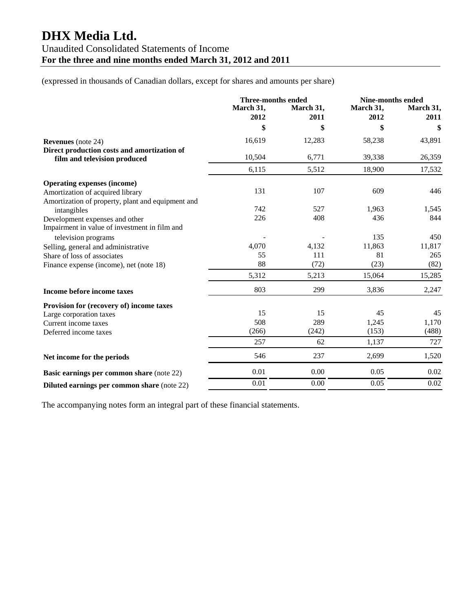# **DHX Media Ltd.**  Unaudited Consolidated Statements of Income **For the three and nine months ended March 31, 2012 and 2011**

(expressed in thousands of Canadian dollars, except for shares and amounts per share)

|                                                                             | <b>Three-months ended</b> |           | <b>Nine-months ended</b> |           |
|-----------------------------------------------------------------------------|---------------------------|-----------|--------------------------|-----------|
|                                                                             | March 31,                 | March 31, | March 31,                | March 31, |
|                                                                             | 2012                      | 2011      | 2012                     | 2011      |
|                                                                             | \$                        | \$        | \$                       | \$        |
| <b>Revenues</b> (note 24)                                                   | 16,619                    | 12,283    | 58,238                   | 43,891    |
| Direct production costs and amortization of<br>film and television produced | 10,504                    | 6,771     | 39,338                   | 26,359    |
|                                                                             | 6,115                     | 5,512     | 18,900                   | 17,532    |
| <b>Operating expenses (income)</b>                                          |                           |           |                          |           |
| Amortization of acquired library                                            | 131                       | 107       | 609                      | 446       |
| Amortization of property, plant and equipment and                           |                           |           |                          |           |
| intangibles                                                                 | 742                       | 527       | 1.963                    | 1,545     |
| Development expenses and other                                              | 226                       | 408       | 436                      | 844       |
| Impairment in value of investment in film and                               |                           |           |                          |           |
| television programs                                                         |                           |           | 135                      | 450       |
| Selling, general and administrative                                         | 4,070                     | 4,132     | 11,863                   | 11,817    |
| Share of loss of associates                                                 | 55                        | 111       | 81                       | 265       |
| Finance expense (income), net (note 18)                                     | 88                        | (72)      | (23)                     | (82)      |
|                                                                             | 5,312                     | 5,213     | 15,064                   | 15,285    |
| Income before income taxes                                                  | 803                       | 299       | 3,836                    | 2,247     |
| Provision for (recovery of) income taxes                                    |                           |           |                          |           |
| Large corporation taxes                                                     | 15                        | 15        | 45                       | 45        |
| Current income taxes                                                        | 508                       | 289       | 1,245                    | 1,170     |
| Deferred income taxes                                                       | (266)                     | (242)     | (153)                    | (488)     |
|                                                                             | 257                       | 62        | 1,137                    | 727       |
| Net income for the periods                                                  | 546                       | 237       | 2,699                    | 1,520     |
| Basic earnings per common share (note 22)                                   | 0.01                      | 0.00      | 0.05                     | 0.02      |
| Diluted earnings per common share (note 22)                                 | 0.01                      | 0.00      | 0.05                     | 0.02      |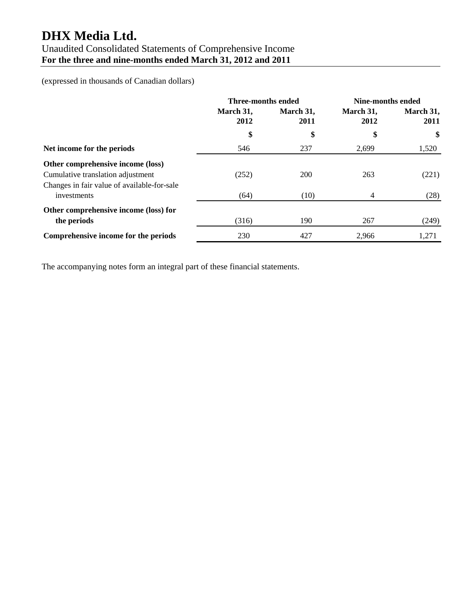# **DHX Media Ltd.**

# Unaudited Consolidated Statements of Comprehensive Income **For the three and nine-months ended March 31, 2012 and 2011**

(expressed in thousands of Canadian dollars)

|                                                                        | <b>Three-months ended</b> |      | Nine-months ended |       |                   |                   |  |  |                   |
|------------------------------------------------------------------------|---------------------------|------|-------------------|-------|-------------------|-------------------|--|--|-------------------|
|                                                                        | March 31,<br>2012         |      |                   |       | March 31,<br>2011 | March 31,<br>2012 |  |  | March 31,<br>2011 |
|                                                                        | \$                        | \$   | \$                | \$    |                   |                   |  |  |                   |
| Net income for the periods                                             | 546                       | 237  | 2,699             | 1,520 |                   |                   |  |  |                   |
| Other comprehensive income (loss)<br>Cumulative translation adjustment | (252)                     | 200  | 263               | (221) |                   |                   |  |  |                   |
| Changes in fair value of available-for-sale<br>investments             | (64)                      | (10) | 4                 | (28)  |                   |                   |  |  |                   |
| Other comprehensive income (loss) for<br>the periods                   | (316)                     | 190  | 267               | (249) |                   |                   |  |  |                   |
| Comprehensive income for the periods                                   | 230                       | 427  | 2.966             | 1,271 |                   |                   |  |  |                   |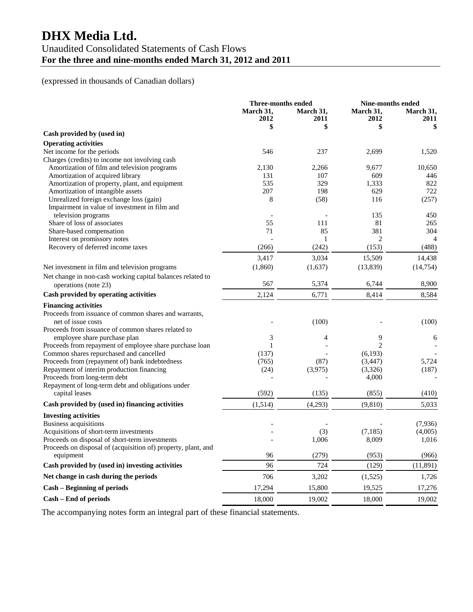# **DHX Media Ltd.**

# Unaudited Consolidated Statements of Cash Flows **For the three and nine-months ended March 31, 2012 and 2011**

# (expressed in thousands of Canadian dollars)

|                                                                                           |                   | <b>Three-months ended</b> |                     | <b>Nine-months ended</b> |
|-------------------------------------------------------------------------------------------|-------------------|---------------------------|---------------------|--------------------------|
|                                                                                           | March 31,<br>2012 | March 31,<br>2011         | March 31,<br>2012   | March 31,<br>2011        |
|                                                                                           | \$                | \$                        |                     | \$                       |
| Cash provided by (used in)                                                                |                   |                           |                     |                          |
| <b>Operating activities</b><br>Net income for the periods                                 |                   |                           |                     |                          |
| Charges (credits) to income not involving cash                                            | 546               | 237                       | 2,699               | 1,520                    |
| Amortization of film and television programs                                              | 2,130             | 2,266                     | 9,677               | 10,650                   |
| Amortization of acquired library                                                          | 131               | 107                       | 609                 | 446                      |
| Amortization of property, plant, and equipment                                            | 535               | 329                       | 1,333               | 822                      |
| Amortization of intangible assets                                                         | 207               | 198                       | 629                 | 722                      |
| Unrealized foreign exchange loss (gain)                                                   | 8                 | (58)                      | 116                 | (257)                    |
| Impairment in value of investment in film and                                             |                   |                           |                     |                          |
| television programs                                                                       |                   |                           | 135                 | 450                      |
| Share of loss of associates                                                               | 55                | 111                       | 81                  | 265                      |
| Share-based compensation                                                                  | 71                | 85                        | 381                 | 304                      |
| Interest on promissory notes                                                              |                   | $\mathbf{1}$              | $\overline{c}$      | 4                        |
| Recovery of deferred income taxes                                                         | (266)             | (242)                     | (153)               | (488)                    |
|                                                                                           | 3,417             | 3,034                     | 15,509              | 14,438                   |
| Net investment in film and television programs                                            | (1,860)           | (1,637)                   | (13, 839)           | (14, 754)                |
| Net change in non-cash working capital balances related to                                |                   |                           |                     |                          |
| operations (note 23)                                                                      | 567               | 5,374                     | 6,744               | 8,900                    |
| Cash provided by operating activities                                                     | 2,124             | 6,771                     | 8,414               | 8,584                    |
| <b>Financing activities</b>                                                               |                   |                           |                     |                          |
| Proceeds from issuance of common shares and warrants,                                     |                   |                           |                     |                          |
| net of issue costs                                                                        |                   | (100)                     |                     | (100)                    |
| Proceeds from issuance of common shares related to                                        |                   |                           |                     |                          |
| employee share purchase plan                                                              | 3                 | 4                         | 9                   | 6                        |
| Proceeds from repayment of employee share purchase loan                                   | 1                 |                           | 2                   |                          |
| Common shares repurchased and cancelled<br>Proceeds from (repayment of) bank indebtedness | (137)<br>(765)    | (87)                      | (6,193)<br>(3, 447) | 5,724                    |
| Repayment of interim production financing                                                 | (24)              | (3,975)                   | (3,326)             | (187)                    |
| Proceeds from long-term debt                                                              |                   |                           | 4,000               |                          |
| Repayment of long-term debt and obligations under                                         |                   |                           |                     |                          |
| capital leases                                                                            | (592)             | (135)                     | (855)               | (410)                    |
| Cash provided by (used in) financing activities                                           | (1,514)           | (4,293)                   | (9, 810)            | 5,033                    |
| <b>Investing activities</b>                                                               |                   |                           |                     |                          |
| <b>Business acquisitions</b>                                                              |                   |                           |                     | (7,936)                  |
| Acquisitions of short-term investments                                                    |                   | (3)                       | (7, 185)            | (4,005)                  |
| Proceeds on disposal of short-term investments                                            |                   | 1,006                     | 8,009               | 1,016                    |
| Proceeds on disposal of (acquisition of) property, plant, and<br>equipment                | 96                | (279)                     | (953)               | (966)                    |
| Cash provided by (used in) investing activities                                           | 96                | 724                       | (129)               | (11,891)                 |
| Net change in cash during the periods                                                     | 706               | 3,202                     | (1,525)             | 1,726                    |
| <b>Cash - Beginning of periods</b>                                                        | 17,294            | 15,800                    | 19,525              | 17,276                   |
| Cash - End of periods                                                                     | 18,000            | 19,002                    | 18,000              | 19,002                   |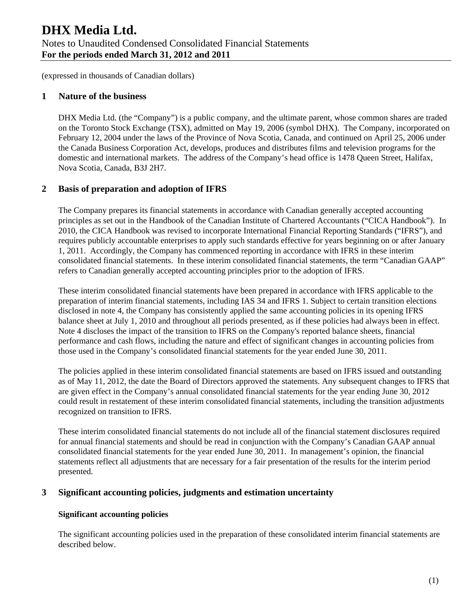## **1 Nature of the business**

DHX Media Ltd. (the "Company") is a public company, and the ultimate parent, whose common shares are traded on the Toronto Stock Exchange (TSX), admitted on May 19, 2006 (symbol DHX). The Company, incorporated on February 12, 2004 under the laws of the Province of Nova Scotia, Canada, and continued on April 25, 2006 under the Canada Business Corporation Act, develops, produces and distributes films and television programs for the domestic and international markets. The address of the Company's head office is 1478 Queen Street, Halifax, Nova Scotia, Canada, B3J 2H7.

# **2 Basis of preparation and adoption of IFRS**

The Company prepares its financial statements in accordance with Canadian generally accepted accounting principles as set out in the Handbook of the Canadian Institute of Chartered Accountants ("CICA Handbook"). In 2010, the CICA Handbook was revised to incorporate International Financial Reporting Standards ("IFRS"), and requires publicly accountable enterprises to apply such standards effective for years beginning on or after January 1, 2011. Accordingly, the Company has commenced reporting in accordance with IFRS in these interim consolidated financial statements. In these interim consolidated financial statements, the term "Canadian GAAP" refers to Canadian generally accepted accounting principles prior to the adoption of IFRS.

These interim consolidated financial statements have been prepared in accordance with IFRS applicable to the preparation of interim financial statements, including IAS 34 and IFRS 1. Subject to certain transition elections disclosed in note 4, the Company has consistently applied the same accounting policies in its opening IFRS balance sheet at July 1, 2010 and throughout all periods presented, as if these policies had always been in effect. Note 4 discloses the impact of the transition to IFRS on the Company's reported balance sheets, financial performance and cash flows, including the nature and effect of significant changes in accounting policies from those used in the Company's consolidated financial statements for the year ended June 30, 2011.

The policies applied in these interim consolidated financial statements are based on IFRS issued and outstanding as of May 11, 2012, the date the Board of Directors approved the statements. Any subsequent changes to IFRS that are given effect in the Company's annual consolidated financial statements for the year ending June 30, 2012 could result in restatement of these interim consolidated financial statements, including the transition adjustments recognized on transition to IFRS.

These interim consolidated financial statements do not include all of the financial statement disclosures required for annual financial statements and should be read in conjunction with the Company's Canadian GAAP annual consolidated financial statements for the year ended June 30, 2011. In management's opinion, the financial statements reflect all adjustments that are necessary for a fair presentation of the results for the interim period presented.

# **3 Significant accounting policies, judgments and estimation uncertainty**

## **Significant accounting policies**

The significant accounting policies used in the preparation of these consolidated interim financial statements are described below.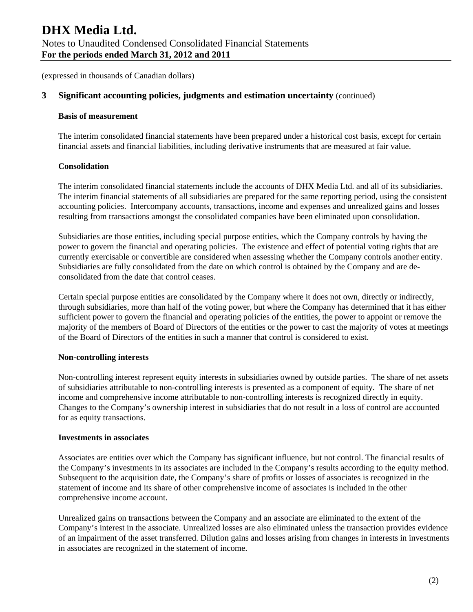# **3 Significant accounting policies, judgments and estimation uncertainty** (continued)

#### **Basis of measurement**

The interim consolidated financial statements have been prepared under a historical cost basis, except for certain financial assets and financial liabilities, including derivative instruments that are measured at fair value.

#### **Consolidation**

The interim consolidated financial statements include the accounts of DHX Media Ltd. and all of its subsidiaries. The interim financial statements of all subsidiaries are prepared for the same reporting period, using the consistent accounting policies. Intercompany accounts, transactions, income and expenses and unrealized gains and losses resulting from transactions amongst the consolidated companies have been eliminated upon consolidation.

Subsidiaries are those entities, including special purpose entities, which the Company controls by having the power to govern the financial and operating policies. The existence and effect of potential voting rights that are currently exercisable or convertible are considered when assessing whether the Company controls another entity. Subsidiaries are fully consolidated from the date on which control is obtained by the Company and are deconsolidated from the date that control ceases.

Certain special purpose entities are consolidated by the Company where it does not own, directly or indirectly, through subsidiaries, more than half of the voting power, but where the Company has determined that it has either sufficient power to govern the financial and operating policies of the entities, the power to appoint or remove the majority of the members of Board of Directors of the entities or the power to cast the majority of votes at meetings of the Board of Directors of the entities in such a manner that control is considered to exist.

#### **Non-controlling interests**

Non-controlling interest represent equity interests in subsidiaries owned by outside parties. The share of net assets of subsidiaries attributable to non-controlling interests is presented as a component of equity. The share of net income and comprehensive income attributable to non-controlling interests is recognized directly in equity. Changes to the Company's ownership interest in subsidiaries that do not result in a loss of control are accounted for as equity transactions.

#### **Investments in associates**

Associates are entities over which the Company has significant influence, but not control. The financial results of the Company's investments in its associates are included in the Company's results according to the equity method. Subsequent to the acquisition date, the Company's share of profits or losses of associates is recognized in the statement of income and its share of other comprehensive income of associates is included in the other comprehensive income account.

Unrealized gains on transactions between the Company and an associate are eliminated to the extent of the Company's interest in the associate. Unrealized losses are also eliminated unless the transaction provides evidence of an impairment of the asset transferred. Dilution gains and losses arising from changes in interests in investments in associates are recognized in the statement of income.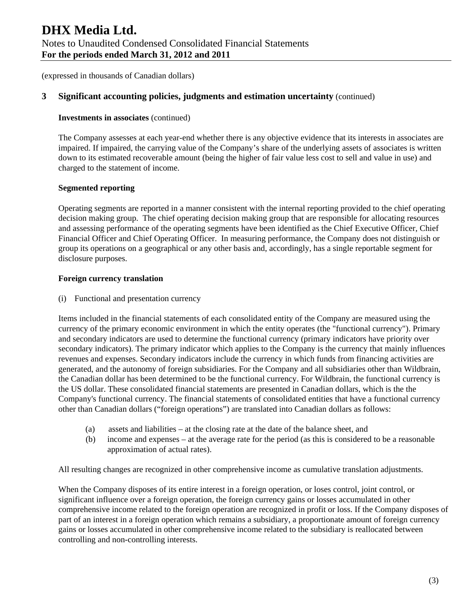# **3 Significant accounting policies, judgments and estimation uncertainty** (continued)

#### **Investments in associates** (continued)

The Company assesses at each year-end whether there is any objective evidence that its interests in associates are impaired. If impaired, the carrying value of the Company's share of the underlying assets of associates is written down to its estimated recoverable amount (being the higher of fair value less cost to sell and value in use) and charged to the statement of income.

#### **Segmented reporting**

Operating segments are reported in a manner consistent with the internal reporting provided to the chief operating decision making group. The chief operating decision making group that are responsible for allocating resources and assessing performance of the operating segments have been identified as the Chief Executive Officer, Chief Financial Officer and Chief Operating Officer. In measuring performance, the Company does not distinguish or group its operations on a geographical or any other basis and, accordingly, has a single reportable segment for disclosure purposes.

#### **Foreign currency translation**

(i) Functional and presentation currency

Items included in the financial statements of each consolidated entity of the Company are measured using the currency of the primary economic environment in which the entity operates (the "functional currency"). Primary and secondary indicators are used to determine the functional currency (primary indicators have priority over secondary indicators). The primary indicator which applies to the Company is the currency that mainly influences revenues and expenses. Secondary indicators include the currency in which funds from financing activities are generated, and the autonomy of foreign subsidiaries. For the Company and all subsidiaries other than Wildbrain, the Canadian dollar has been determined to be the functional currency. For Wildbrain, the functional currency is the US dollar. These consolidated financial statements are presented in Canadian dollars, which is the the Company's functional currency. The financial statements of consolidated entities that have a functional currency other than Canadian dollars ("foreign operations") are translated into Canadian dollars as follows:

- (a) assets and liabilities at the closing rate at the date of the balance sheet, and
- (b) income and expenses at the average rate for the period (as this is considered to be a reasonable approximation of actual rates).

All resulting changes are recognized in other comprehensive income as cumulative translation adjustments.

When the Company disposes of its entire interest in a foreign operation, or loses control, joint control, or significant influence over a foreign operation, the foreign currency gains or losses accumulated in other comprehensive income related to the foreign operation are recognized in profit or loss. If the Company disposes of part of an interest in a foreign operation which remains a subsidiary, a proportionate amount of foreign currency gains or losses accumulated in other comprehensive income related to the subsidiary is reallocated between controlling and non-controlling interests.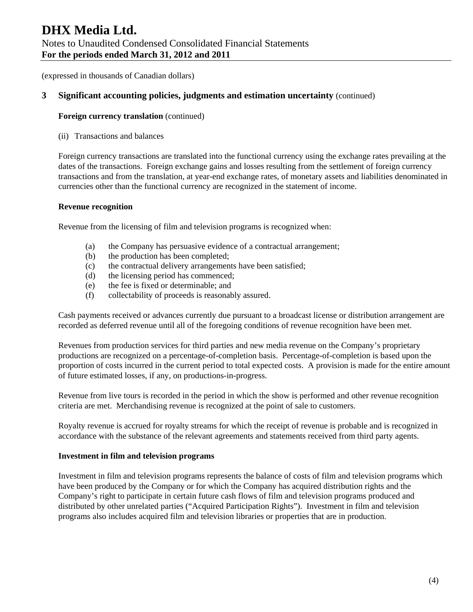(expressed in thousands of Canadian dollars)

## **3 Significant accounting policies, judgments and estimation uncertainty** (continued)

#### **Foreign currency translation** (continued)

(ii) Transactions and balances

Foreign currency transactions are translated into the functional currency using the exchange rates prevailing at the dates of the transactions. Foreign exchange gains and losses resulting from the settlement of foreign currency transactions and from the translation, at year-end exchange rates, of monetary assets and liabilities denominated in currencies other than the functional currency are recognized in the statement of income.

#### **Revenue recognition**

Revenue from the licensing of film and television programs is recognized when:

- (a) the Company has persuasive evidence of a contractual arrangement;
- (b) the production has been completed;
- (c) the contractual delivery arrangements have been satisfied;
- (d) the licensing period has commenced;
- (e) the fee is fixed or determinable; and
- (f) collectability of proceeds is reasonably assured.

Cash payments received or advances currently due pursuant to a broadcast license or distribution arrangement are recorded as deferred revenue until all of the foregoing conditions of revenue recognition have been met.

Revenues from production services for third parties and new media revenue on the Company's proprietary productions are recognized on a percentage-of-completion basis. Percentage-of-completion is based upon the proportion of costs incurred in the current period to total expected costs. A provision is made for the entire amount of future estimated losses, if any, on productions-in-progress.

Revenue from live tours is recorded in the period in which the show is performed and other revenue recognition criteria are met. Merchandising revenue is recognized at the point of sale to customers.

Royalty revenue is accrued for royalty streams for which the receipt of revenue is probable and is recognized in accordance with the substance of the relevant agreements and statements received from third party agents.

#### **Investment in film and television programs**

Investment in film and television programs represents the balance of costs of film and television programs which have been produced by the Company or for which the Company has acquired distribution rights and the Company's right to participate in certain future cash flows of film and television programs produced and distributed by other unrelated parties ("Acquired Participation Rights"). Investment in film and television programs also includes acquired film and television libraries or properties that are in production.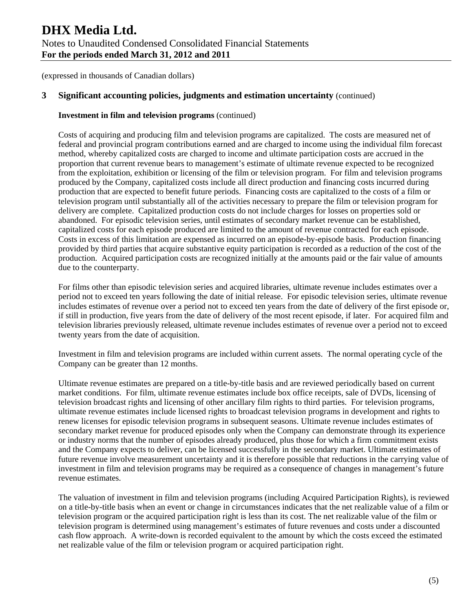## **3 Significant accounting policies, judgments and estimation uncertainty** (continued)

#### **Investment in film and television programs** (continued)

Costs of acquiring and producing film and television programs are capitalized. The costs are measured net of federal and provincial program contributions earned and are charged to income using the individual film forecast method, whereby capitalized costs are charged to income and ultimate participation costs are accrued in the proportion that current revenue bears to management's estimate of ultimate revenue expected to be recognized from the exploitation, exhibition or licensing of the film or television program. For film and television programs produced by the Company, capitalized costs include all direct production and financing costs incurred during production that are expected to benefit future periods. Financing costs are capitalized to the costs of a film or television program until substantially all of the activities necessary to prepare the film or television program for delivery are complete. Capitalized production costs do not include charges for losses on properties sold or abandoned. For episodic television series, until estimates of secondary market revenue can be established, capitalized costs for each episode produced are limited to the amount of revenue contracted for each episode. Costs in excess of this limitation are expensed as incurred on an episode-by-episode basis. Production financing provided by third parties that acquire substantive equity participation is recorded as a reduction of the cost of the production. Acquired participation costs are recognized initially at the amounts paid or the fair value of amounts due to the counterparty.

For films other than episodic television series and acquired libraries, ultimate revenue includes estimates over a period not to exceed ten years following the date of initial release. For episodic television series, ultimate revenue includes estimates of revenue over a period not to exceed ten years from the date of delivery of the first episode or, if still in production, five years from the date of delivery of the most recent episode, if later. For acquired film and television libraries previously released, ultimate revenue includes estimates of revenue over a period not to exceed twenty years from the date of acquisition.

Investment in film and television programs are included within current assets. The normal operating cycle of the Company can be greater than 12 months.

Ultimate revenue estimates are prepared on a title-by-title basis and are reviewed periodically based on current market conditions. For film, ultimate revenue estimates include box office receipts, sale of DVDs, licensing of television broadcast rights and licensing of other ancillary film rights to third parties. For television programs, ultimate revenue estimates include licensed rights to broadcast television programs in development and rights to renew licenses for episodic television programs in subsequent seasons. Ultimate revenue includes estimates of secondary market revenue for produced episodes only when the Company can demonstrate through its experience or industry norms that the number of episodes already produced, plus those for which a firm commitment exists and the Company expects to deliver, can be licensed successfully in the secondary market. Ultimate estimates of future revenue involve measurement uncertainty and it is therefore possible that reductions in the carrying value of investment in film and television programs may be required as a consequence of changes in management's future revenue estimates.

The valuation of investment in film and television programs (including Acquired Participation Rights), is reviewed on a title-by-title basis when an event or change in circumstances indicates that the net realizable value of a film or television program or the acquired participation right is less than its cost. The net realizable value of the film or television program is determined using management's estimates of future revenues and costs under a discounted cash flow approach. A write-down is recorded equivalent to the amount by which the costs exceed the estimated net realizable value of the film or television program or acquired participation right.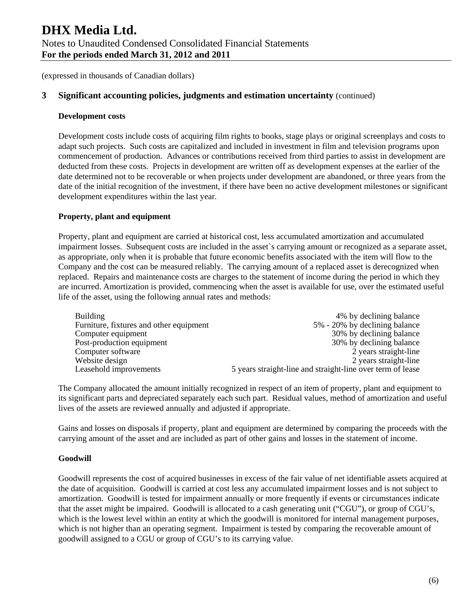# **3 Significant accounting policies, judgments and estimation uncertainty** (continued)

#### **Development costs**

Development costs include costs of acquiring film rights to books, stage plays or original screenplays and costs to adapt such projects. Such costs are capitalized and included in investment in film and television programs upon commencement of production. Advances or contributions received from third parties to assist in development are deducted from these costs. Projects in development are written off as development expenses at the earlier of the date determined not to be recoverable or when projects under development are abandoned, or three years from the date of the initial recognition of the investment, if there have been no active development milestones or significant development expenditures within the last year.

#### **Property, plant and equipment**

Property, plant and equipment are carried at historical cost, less accumulated amortization and accumulated impairment losses. Subsequent costs are included in the asset`s carrying amount or recognized as a separate asset, as appropriate, only when it is probable that future economic benefits associated with the item will flow to the Company and the cost can be measured reliably. The carrying amount of a replaced asset is derecognized when replaced. Repairs and maintenance costs are charges to the statement of income during the period in which they are incurred. Amortization is provided, commencing when the asset is available for use, over the estimated useful life of the asset, using the following annual rates and methods:

| <b>Building</b>                         | 4% by declining balance                                    |
|-----------------------------------------|------------------------------------------------------------|
| Furniture, fixtures and other equipment | 5% - 20% by declining balance                              |
| Computer equipment                      | 30% by declining balance                                   |
| Post-production equipment               | 30% by declining balance                                   |
| Computer software                       | 2 years straight-line                                      |
| Website design                          | 2 years straight-line                                      |
| Leasehold improvements                  | 5 years straight-line and straight-line over term of lease |

The Company allocated the amount initially recognized in respect of an item of property, plant and equipment to its significant parts and depreciated separately each such part. Residual values, method of amortization and useful lives of the assets are reviewed annually and adjusted if appropriate.

Gains and losses on disposals if property, plant and equipment are determined by comparing the proceeds with the carrying amount of the asset and are included as part of other gains and losses in the statement of income.

#### **Goodwill**

Goodwill represents the cost of acquired businesses in excess of the fair value of net identifiable assets acquired at the date of acquisition. Goodwill is carried at cost less any accumulated impairment losses and is not subject to amortization. Goodwill is tested for impairment annually or more frequently if events or circumstances indicate that the asset might be impaired. Goodwill is allocated to a cash generating unit ("CGU"), or group of CGU's, which is the lowest level within an entity at which the goodwill is monitored for internal management purposes, which is not higher than an operating segment. Impairment is tested by comparing the recoverable amount of goodwill assigned to a CGU or group of CGU's to its carrying value.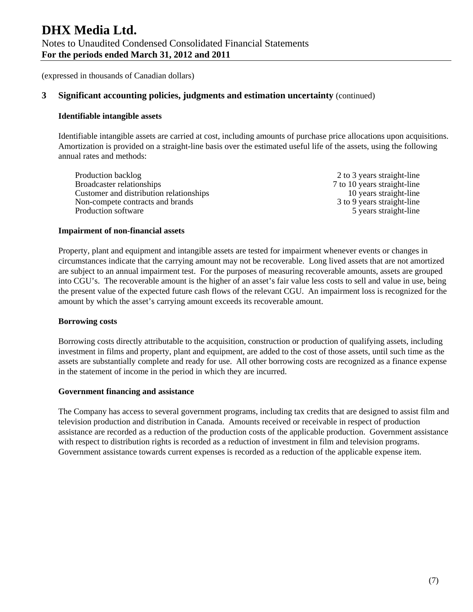# **3 Significant accounting policies, judgments and estimation uncertainty** (continued)

#### **Identifiable intangible assets**

Identifiable intangible assets are carried at cost, including amounts of purchase price allocations upon acquisitions. Amortization is provided on a straight-line basis over the estimated useful life of the assets, using the following annual rates and methods:

Production backlog 2 to 3 years straight-line Broadcaster relationships 7 to 10 years straight-line Customer and distribution relationships 10 years straight-line Non-compete contracts and brands 3 to 9 years straight-line Production software 5 years straight-line

#### **Impairment of non-financial assets**

Property, plant and equipment and intangible assets are tested for impairment whenever events or changes in circumstances indicate that the carrying amount may not be recoverable. Long lived assets that are not amortized are subject to an annual impairment test. For the purposes of measuring recoverable amounts, assets are grouped into CGU's. The recoverable amount is the higher of an asset's fair value less costs to sell and value in use, being the present value of the expected future cash flows of the relevant CGU. An impairment loss is recognized for the amount by which the asset's carrying amount exceeds its recoverable amount.

#### **Borrowing costs**

Borrowing costs directly attributable to the acquisition, construction or production of qualifying assets, including investment in films and property, plant and equipment, are added to the cost of those assets, until such time as the assets are substantially complete and ready for use. All other borrowing costs are recognized as a finance expense in the statement of income in the period in which they are incurred.

#### **Government financing and assistance**

The Company has access to several government programs, including tax credits that are designed to assist film and television production and distribution in Canada. Amounts received or receivable in respect of production assistance are recorded as a reduction of the production costs of the applicable production. Government assistance with respect to distribution rights is recorded as a reduction of investment in film and television programs. Government assistance towards current expenses is recorded as a reduction of the applicable expense item.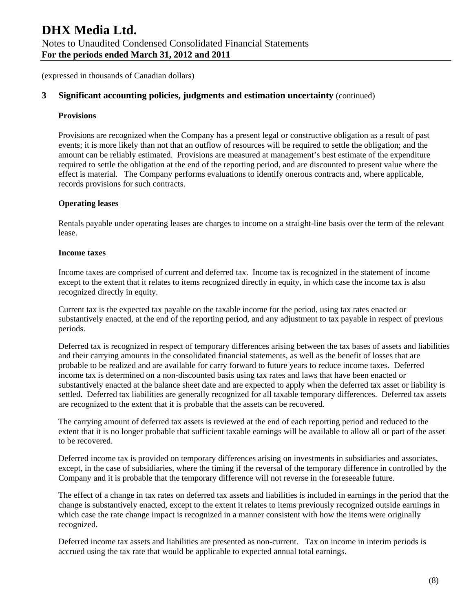# **3 Significant accounting policies, judgments and estimation uncertainty** (continued)

#### **Provisions**

Provisions are recognized when the Company has a present legal or constructive obligation as a result of past events; it is more likely than not that an outflow of resources will be required to settle the obligation; and the amount can be reliably estimated. Provisions are measured at management's best estimate of the expenditure required to settle the obligation at the end of the reporting period, and are discounted to present value where the effect is material. The Company performs evaluations to identify onerous contracts and, where applicable, records provisions for such contracts.

#### **Operating leases**

Rentals payable under operating leases are charges to income on a straight-line basis over the term of the relevant lease.

#### **Income taxes**

Income taxes are comprised of current and deferred tax. Income tax is recognized in the statement of income except to the extent that it relates to items recognized directly in equity, in which case the income tax is also recognized directly in equity.

Current tax is the expected tax payable on the taxable income for the period, using tax rates enacted or substantively enacted, at the end of the reporting period, and any adjustment to tax payable in respect of previous periods.

Deferred tax is recognized in respect of temporary differences arising between the tax bases of assets and liabilities and their carrying amounts in the consolidated financial statements, as well as the benefit of losses that are probable to be realized and are available for carry forward to future years to reduce income taxes. Deferred income tax is determined on a non-discounted basis using tax rates and laws that have been enacted or substantively enacted at the balance sheet date and are expected to apply when the deferred tax asset or liability is settled. Deferred tax liabilities are generally recognized for all taxable temporary differences. Deferred tax assets are recognized to the extent that it is probable that the assets can be recovered.

The carrying amount of deferred tax assets is reviewed at the end of each reporting period and reduced to the extent that it is no longer probable that sufficient taxable earnings will be available to allow all or part of the asset to be recovered.

Deferred income tax is provided on temporary differences arising on investments in subsidiaries and associates, except, in the case of subsidiaries, where the timing if the reversal of the temporary difference in controlled by the Company and it is probable that the temporary difference will not reverse in the foreseeable future.

The effect of a change in tax rates on deferred tax assets and liabilities is included in earnings in the period that the change is substantively enacted, except to the extent it relates to items previously recognized outside earnings in which case the rate change impact is recognized in a manner consistent with how the items were originally recognized.

Deferred income tax assets and liabilities are presented as non-current. Tax on income in interim periods is accrued using the tax rate that would be applicable to expected annual total earnings.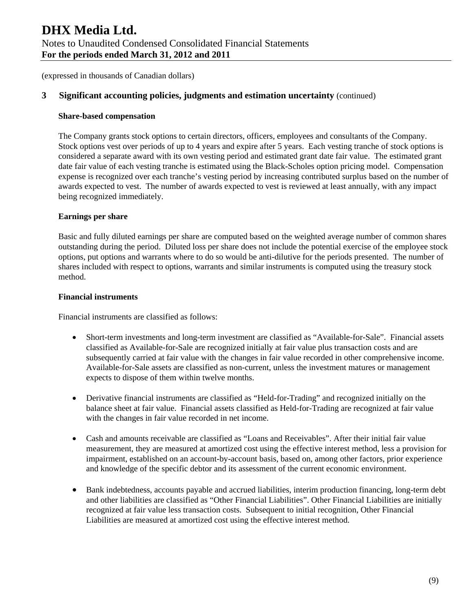# **3 Significant accounting policies, judgments and estimation uncertainty** (continued)

#### **Share-based compensation**

The Company grants stock options to certain directors, officers, employees and consultants of the Company. Stock options vest over periods of up to 4 years and expire after 5 years. Each vesting tranche of stock options is considered a separate award with its own vesting period and estimated grant date fair value. The estimated grant date fair value of each vesting tranche is estimated using the Black-Scholes option pricing model. Compensation expense is recognized over each tranche's vesting period by increasing contributed surplus based on the number of awards expected to vest. The number of awards expected to vest is reviewed at least annually, with any impact being recognized immediately.

## **Earnings per share**

Basic and fully diluted earnings per share are computed based on the weighted average number of common shares outstanding during the period. Diluted loss per share does not include the potential exercise of the employee stock options, put options and warrants where to do so would be anti-dilutive for the periods presented. The number of shares included with respect to options, warrants and similar instruments is computed using the treasury stock method.

#### **Financial instruments**

Financial instruments are classified as follows:

- Short-term investments and long-term investment are classified as "Available-for-Sale". Financial assets classified as Available-for-Sale are recognized initially at fair value plus transaction costs and are subsequently carried at fair value with the changes in fair value recorded in other comprehensive income. Available-for-Sale assets are classified as non-current, unless the investment matures or management expects to dispose of them within twelve months.
- Derivative financial instruments are classified as "Held-for-Trading" and recognized initially on the balance sheet at fair value. Financial assets classified as Held-for-Trading are recognized at fair value with the changes in fair value recorded in net income.
- Cash and amounts receivable are classified as "Loans and Receivables". After their initial fair value measurement, they are measured at amortized cost using the effective interest method, less a provision for impairment, established on an account-by-account basis, based on, among other factors, prior experience and knowledge of the specific debtor and its assessment of the current economic environment.
- Bank indebtedness, accounts payable and accrued liabilities, interim production financing, long-term debt and other liabilities are classified as "Other Financial Liabilities". Other Financial Liabilities are initially recognized at fair value less transaction costs. Subsequent to initial recognition, Other Financial Liabilities are measured at amortized cost using the effective interest method.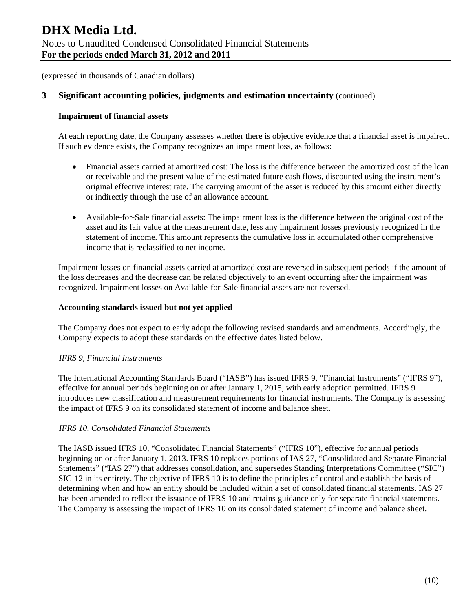(expressed in thousands of Canadian dollars)

## **3 Significant accounting policies, judgments and estimation uncertainty** (continued)

#### **Impairment of financial assets**

At each reporting date, the Company assesses whether there is objective evidence that a financial asset is impaired. If such evidence exists, the Company recognizes an impairment loss, as follows:

- Financial assets carried at amortized cost: The loss is the difference between the amortized cost of the loan or receivable and the present value of the estimated future cash flows, discounted using the instrument's original effective interest rate. The carrying amount of the asset is reduced by this amount either directly or indirectly through the use of an allowance account.
- Available-for-Sale financial assets: The impairment loss is the difference between the original cost of the asset and its fair value at the measurement date, less any impairment losses previously recognized in the statement of income. This amount represents the cumulative loss in accumulated other comprehensive income that is reclassified to net income.

Impairment losses on financial assets carried at amortized cost are reversed in subsequent periods if the amount of the loss decreases and the decrease can be related objectively to an event occurring after the impairment was recognized. Impairment losses on Available-for-Sale financial assets are not reversed.

#### **Accounting standards issued but not yet applied**

The Company does not expect to early adopt the following revised standards and amendments. Accordingly, the Company expects to adopt these standards on the effective dates listed below.

#### *IFRS 9, Financial Instruments*

The International Accounting Standards Board ("IASB") has issued IFRS 9, "Financial Instruments" ("IFRS 9"), effective for annual periods beginning on or after January 1, 2015, with early adoption permitted. IFRS 9 introduces new classification and measurement requirements for financial instruments. The Company is assessing the impact of IFRS 9 on its consolidated statement of income and balance sheet.

#### *IFRS 10, Consolidated Financial Statements*

The IASB issued IFRS 10, "Consolidated Financial Statements" ("IFRS 10"), effective for annual periods beginning on or after January 1, 2013. IFRS 10 replaces portions of IAS 27, "Consolidated and Separate Financial Statements" ("IAS 27") that addresses consolidation, and supersedes Standing Interpretations Committee ("SIC") SIC-12 in its entirety. The objective of IFRS 10 is to define the principles of control and establish the basis of determining when and how an entity should be included within a set of consolidated financial statements. IAS 27 has been amended to reflect the issuance of IFRS 10 and retains guidance only for separate financial statements. The Company is assessing the impact of IFRS 10 on its consolidated statement of income and balance sheet.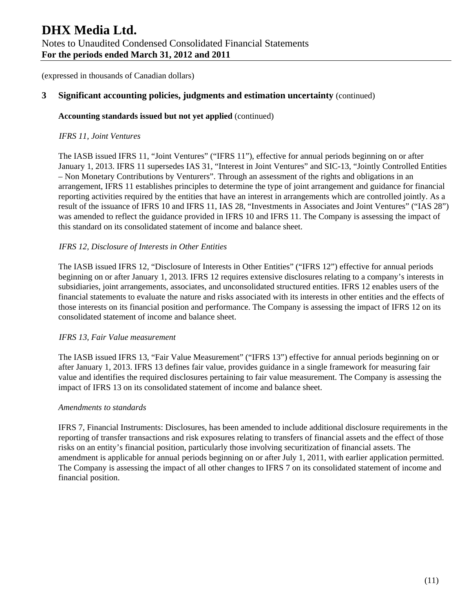# **3 Significant accounting policies, judgments and estimation uncertainty** (continued)

#### **Accounting standards issued but not yet applied** (continued)

#### *IFRS 11, Joint Ventures*

The IASB issued IFRS 11, "Joint Ventures" ("IFRS 11"), effective for annual periods beginning on or after January 1, 2013. IFRS 11 supersedes IAS 31, "Interest in Joint Ventures" and SIC-13, "Jointly Controlled Entities – Non Monetary Contributions by Venturers". Through an assessment of the rights and obligations in an arrangement, IFRS 11 establishes principles to determine the type of joint arrangement and guidance for financial reporting activities required by the entities that have an interest in arrangements which are controlled jointly. As a result of the issuance of IFRS 10 and IFRS 11, IAS 28, "Investments in Associates and Joint Ventures" ("IAS 28") was amended to reflect the guidance provided in IFRS 10 and IFRS 11. The Company is assessing the impact of this standard on its consolidated statement of income and balance sheet.

#### *IFRS 12, Disclosure of Interests in Other Entities*

The IASB issued IFRS 12, "Disclosure of Interests in Other Entities" ("IFRS 12") effective for annual periods beginning on or after January 1, 2013. IFRS 12 requires extensive disclosures relating to a company's interests in subsidiaries, joint arrangements, associates, and unconsolidated structured entities. IFRS 12 enables users of the financial statements to evaluate the nature and risks associated with its interests in other entities and the effects of those interests on its financial position and performance. The Company is assessing the impact of IFRS 12 on its consolidated statement of income and balance sheet.

#### *IFRS 13, Fair Value measurement*

The IASB issued IFRS 13, "Fair Value Measurement" ("IFRS 13") effective for annual periods beginning on or after January 1, 2013. IFRS 13 defines fair value, provides guidance in a single framework for measuring fair value and identifies the required disclosures pertaining to fair value measurement. The Company is assessing the impact of IFRS 13 on its consolidated statement of income and balance sheet.

#### *Amendments to standards*

IFRS 7, Financial Instruments: Disclosures, has been amended to include additional disclosure requirements in the reporting of transfer transactions and risk exposures relating to transfers of financial assets and the effect of those risks on an entity's financial position, particularly those involving securitization of financial assets. The amendment is applicable for annual periods beginning on or after July 1, 2011, with earlier application permitted. The Company is assessing the impact of all other changes to IFRS 7 on its consolidated statement of income and financial position.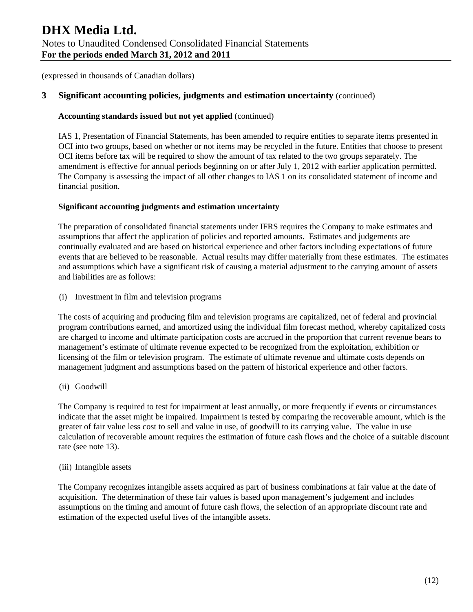# **3 Significant accounting policies, judgments and estimation uncertainty** (continued)

### **Accounting standards issued but not yet applied** (continued)

IAS 1, Presentation of Financial Statements, has been amended to require entities to separate items presented in OCI into two groups, based on whether or not items may be recycled in the future. Entities that choose to present OCI items before tax will be required to show the amount of tax related to the two groups separately. The amendment is effective for annual periods beginning on or after July 1, 2012 with earlier application permitted. The Company is assessing the impact of all other changes to IAS 1 on its consolidated statement of income and financial position.

#### **Significant accounting judgments and estimation uncertainty**

The preparation of consolidated financial statements under IFRS requires the Company to make estimates and assumptions that affect the application of policies and reported amounts. Estimates and judgements are continually evaluated and are based on historical experience and other factors including expectations of future events that are believed to be reasonable. Actual results may differ materially from these estimates. The estimates and assumptions which have a significant risk of causing a material adjustment to the carrying amount of assets and liabilities are as follows:

(i) Investment in film and television programs

The costs of acquiring and producing film and television programs are capitalized, net of federal and provincial program contributions earned, and amortized using the individual film forecast method, whereby capitalized costs are charged to income and ultimate participation costs are accrued in the proportion that current revenue bears to management's estimate of ultimate revenue expected to be recognized from the exploitation, exhibition or licensing of the film or television program. The estimate of ultimate revenue and ultimate costs depends on management judgment and assumptions based on the pattern of historical experience and other factors.

(ii) Goodwill

The Company is required to test for impairment at least annually, or more frequently if events or circumstances indicate that the asset might be impaired. Impairment is tested by comparing the recoverable amount, which is the greater of fair value less cost to sell and value in use, of goodwill to its carrying value. The value in use calculation of recoverable amount requires the estimation of future cash flows and the choice of a suitable discount rate (see note 13).

(iii) Intangible assets

The Company recognizes intangible assets acquired as part of business combinations at fair value at the date of acquisition. The determination of these fair values is based upon management's judgement and includes assumptions on the timing and amount of future cash flows, the selection of an appropriate discount rate and estimation of the expected useful lives of the intangible assets.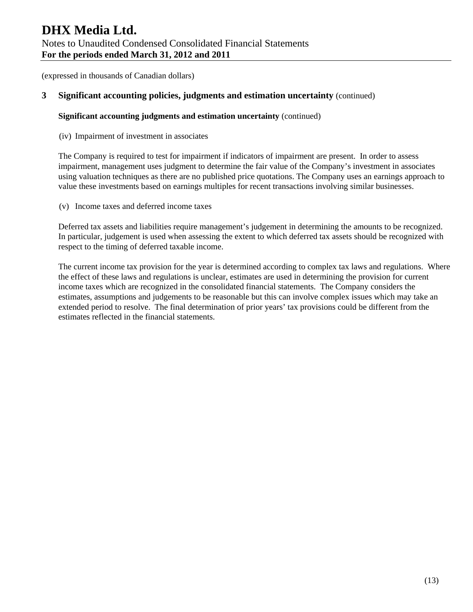(expressed in thousands of Canadian dollars)

### **3 Significant accounting policies, judgments and estimation uncertainty** (continued)

#### **Significant accounting judgments and estimation uncertainty** (continued)

(iv) Impairment of investment in associates

The Company is required to test for impairment if indicators of impairment are present. In order to assess impairment, management uses judgment to determine the fair value of the Company's investment in associates using valuation techniques as there are no published price quotations. The Company uses an earnings approach to value these investments based on earnings multiples for recent transactions involving similar businesses.

(v) Income taxes and deferred income taxes

Deferred tax assets and liabilities require management's judgement in determining the amounts to be recognized. In particular, judgement is used when assessing the extent to which deferred tax assets should be recognized with respect to the timing of deferred taxable income.

The current income tax provision for the year is determined according to complex tax laws and regulations. Where the effect of these laws and regulations is unclear, estimates are used in determining the provision for current income taxes which are recognized in the consolidated financial statements. The Company considers the estimates, assumptions and judgements to be reasonable but this can involve complex issues which may take an extended period to resolve. The final determination of prior years' tax provisions could be different from the estimates reflected in the financial statements.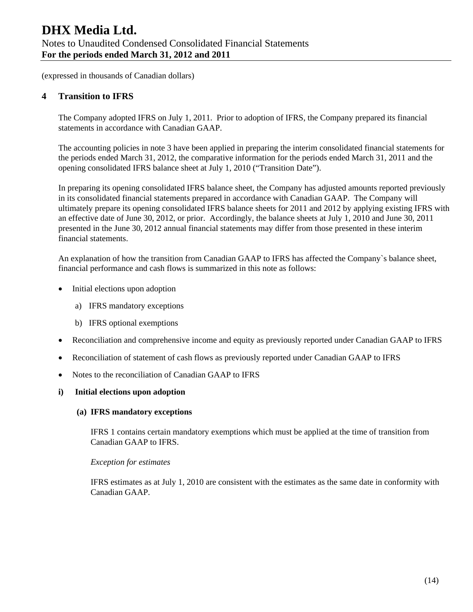# **4 Transition to IFRS**

The Company adopted IFRS on July 1, 2011. Prior to adoption of IFRS, the Company prepared its financial statements in accordance with Canadian GAAP.

The accounting policies in note 3 have been applied in preparing the interim consolidated financial statements for the periods ended March 31, 2012, the comparative information for the periods ended March 31, 2011 and the opening consolidated IFRS balance sheet at July 1, 2010 ("Transition Date").

In preparing its opening consolidated IFRS balance sheet, the Company has adjusted amounts reported previously in its consolidated financial statements prepared in accordance with Canadian GAAP. The Company will ultimately prepare its opening consolidated IFRS balance sheets for 2011 and 2012 by applying existing IFRS with an effective date of June 30, 2012, or prior. Accordingly, the balance sheets at July 1, 2010 and June 30, 2011 presented in the June 30, 2012 annual financial statements may differ from those presented in these interim financial statements.

An explanation of how the transition from Canadian GAAP to IFRS has affected the Company`s balance sheet, financial performance and cash flows is summarized in this note as follows:

- Initial elections upon adoption
	- a) IFRS mandatory exceptions
	- b) IFRS optional exemptions
- Reconciliation and comprehensive income and equity as previously reported under Canadian GAAP to IFRS
- Reconciliation of statement of cash flows as previously reported under Canadian GAAP to IFRS
- Notes to the reconciliation of Canadian GAAP to IFRS
- **i) Initial elections upon adoption**

#### **(a) IFRS mandatory exceptions**

IFRS 1 contains certain mandatory exemptions which must be applied at the time of transition from Canadian GAAP to IFRS.

#### *Exception for estimates*

IFRS estimates as at July 1, 2010 are consistent with the estimates as the same date in conformity with Canadian GAAP.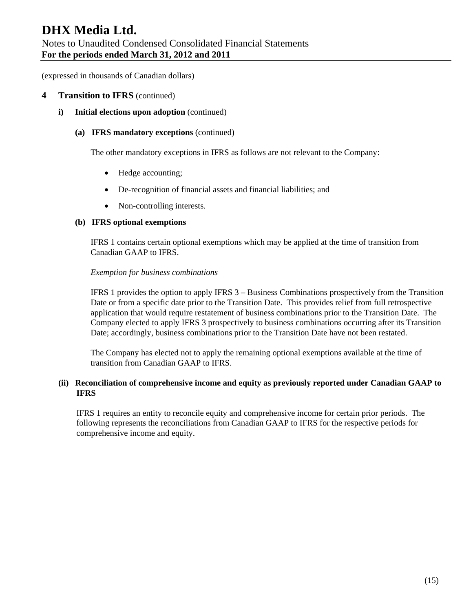(expressed in thousands of Canadian dollars)

#### **4 Transition to IFRS** (continued)

**i)** Initial elections upon adoption (continued)

#### **(a) IFRS mandatory exceptions** (continued)

The other mandatory exceptions in IFRS as follows are not relevant to the Company:

- Hedge accounting;
- De-recognition of financial assets and financial liabilities; and
- Non-controlling interests.

#### **(b) IFRS optional exemptions**

IFRS 1 contains certain optional exemptions which may be applied at the time of transition from Canadian GAAP to IFRS.

#### *Exemption for business combinations*

IFRS 1 provides the option to apply IFRS 3 – Business Combinations prospectively from the Transition Date or from a specific date prior to the Transition Date. This provides relief from full retrospective application that would require restatement of business combinations prior to the Transition Date. The Company elected to apply IFRS 3 prospectively to business combinations occurring after its Transition Date; accordingly, business combinations prior to the Transition Date have not been restated.

The Company has elected not to apply the remaining optional exemptions available at the time of transition from Canadian GAAP to IFRS.

#### **(ii) Reconciliation of comprehensive income and equity as previously reported under Canadian GAAP to IFRS**

IFRS 1 requires an entity to reconcile equity and comprehensive income for certain prior periods. The following represents the reconciliations from Canadian GAAP to IFRS for the respective periods for comprehensive income and equity.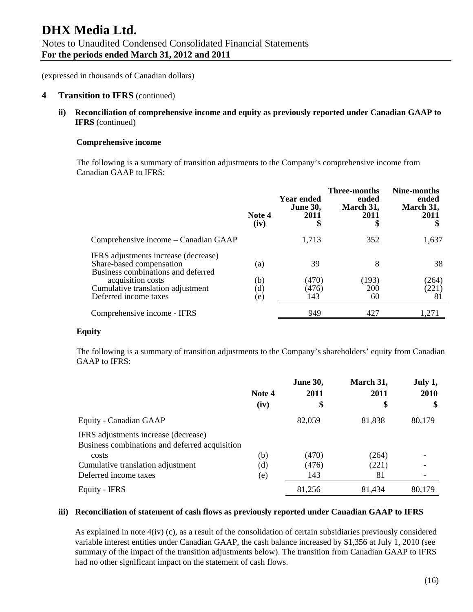#### **4 Transition to IFRS** (continued)

**ii) Reconciliation of comprehensive income and equity as previously reported under Canadian GAAP to IFRS** (continued)

#### **Comprehensive income**

The following is a summary of transition adjustments to the Company's comprehensive income from Canadian GAAP to IFRS:

|                                                                                                        | Note 4<br>(iv)             | Year ended<br><b>June 30,</b><br>2011<br>\$ | <b>Three-months</b><br>ended<br>March 31,<br>2011<br>\$ | Nine-months<br>ended<br>March 31,<br>2011 |
|--------------------------------------------------------------------------------------------------------|----------------------------|---------------------------------------------|---------------------------------------------------------|-------------------------------------------|
| Comprehensive income – Canadian GAAP                                                                   |                            | 1,713                                       | 352                                                     | 1,637                                     |
| IFRS adjustments increase (decrease)<br>Share-based compensation<br>Business combinations and deferred | (a)                        | 39                                          | 8                                                       | 38                                        |
| acquisition costs<br>Cumulative translation adjustment<br>Deferred income taxes                        | (b)<br>$\rm ^{(d)}$<br>(e) | (470)<br>(476)<br>143                       | (193)<br>200<br>60                                      | (264)<br>(221)<br>81                      |
| Comprehensive income - IFRS                                                                            |                            | 949                                         | 427                                                     | 1,271                                     |

#### **Equity**

The following is a summary of transition adjustments to the Company's shareholders' equity from Canadian GAAP to IFRS:

|                                                                                        | Note 4<br>(iv) | <b>June 30,</b><br>2011<br>\$ | March 31,<br>2011<br>\$ | July 1,<br>2010<br>\$ |
|----------------------------------------------------------------------------------------|----------------|-------------------------------|-------------------------|-----------------------|
| Equity - Canadian GAAP                                                                 |                | 82,059                        | 81,838                  | 80,179                |
| IFRS adjustments increase (decrease)<br>Business combinations and deferred acquisition |                |                               |                         |                       |
| costs                                                                                  | (b)            | (470)                         | (264)                   |                       |
| Cumulative translation adjustment                                                      | (d)            | (476)                         | (221)                   |                       |
| Deferred income taxes                                                                  | (e)            | 143                           | 81                      |                       |
| Equity - IFRS                                                                          |                | 81,256                        | 81,434                  | 80,179                |

#### **iii) Reconciliation of statement of cash flows as previously reported under Canadian GAAP to IFRS**

As explained in note 4(iv) (c), as a result of the consolidation of certain subsidiaries previously considered variable interest entities under Canadian GAAP, the cash balance increased by \$1,356 at July 1, 2010 (see summary of the impact of the transition adjustments below). The transition from Canadian GAAP to IFRS had no other significant impact on the statement of cash flows.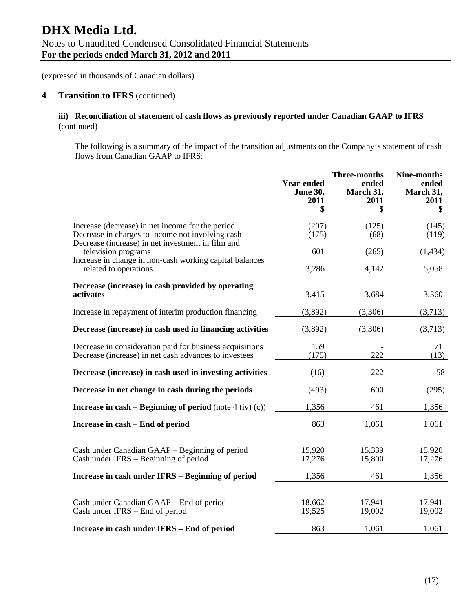#### **4 Transition to IFRS** (continued)

#### **iii) Reconciliation of statement of cash flows as previously reported under Canadian GAAP to IFRS**  (continued)

The following is a summary of the impact of the transition adjustments on the Company's statement of cash flows from Canadian GAAP to IFRS:

|                                                                                                                                                           | <b>Year-ended</b><br><b>June 30,</b><br>2011<br>\$ | <b>Three-months</b><br>ended<br>March 31,<br>2011<br>\$ | <b>Nine-months</b><br>ended<br>March 31,<br>2011<br>\$ |
|-----------------------------------------------------------------------------------------------------------------------------------------------------------|----------------------------------------------------|---------------------------------------------------------|--------------------------------------------------------|
| Increase (decrease) in net income for the period<br>Decrease in charges to income not involving cash<br>Decrease (increase) in net investment in film and | (297)<br>(175)                                     | (125)<br>(68)                                           | (145)<br>(119)                                         |
| television programs<br>Increase in change in non-cash working capital balances                                                                            | 601<br>3,286                                       | (265)                                                   | (1, 434)<br>5,058                                      |
| related to operations<br>Decrease (increase) in cash provided by operating<br>activates                                                                   | 3,415                                              | 4,142<br>3,684                                          | 3,360                                                  |
| Increase in repayment of interim production financing                                                                                                     | (3,892)                                            | (3,306)                                                 | (3,713)                                                |
| Decrease (increase) in cash used in financing activities                                                                                                  | (3,892)                                            | (3,306)                                                 | (3,713)                                                |
| Decrease in consideration paid for business acquisitions<br>Decrease (increase) in net cash advances to investees                                         | 159<br>(175)                                       | 222                                                     | 71<br>(13)                                             |
| Decrease (increase) in cash used in investing activities                                                                                                  | (16)                                               | 222                                                     | 58                                                     |
| Decrease in net change in cash during the periods                                                                                                         | (493)                                              | 600                                                     | (295)                                                  |
| Increase in cash – Beginning of period (note $4$ (iv) (c))                                                                                                | 1,356                                              | 461                                                     | 1,356                                                  |
| Increase in cash – End of period                                                                                                                          | 863                                                | 1,061                                                   | 1,061                                                  |
| Cash under Canadian GAAP – Beginning of period<br>Cash under IFRS – Beginning of period                                                                   | 15,920<br>17,276                                   | 15,339<br>15,800                                        | 15,920<br>17,276                                       |
| Increase in cash under IFRS - Beginning of period                                                                                                         | 1,356                                              | 461                                                     | 1,356                                                  |
| Cash under Canadian GAAP – End of period<br>Cash under IFRS – End of period                                                                               | 18,662<br>19,525                                   | 17,941<br>19,002                                        | 17,941<br>19,002                                       |
| Increase in cash under IFRS - End of period                                                                                                               | 863                                                | 1,061                                                   | 1,061                                                  |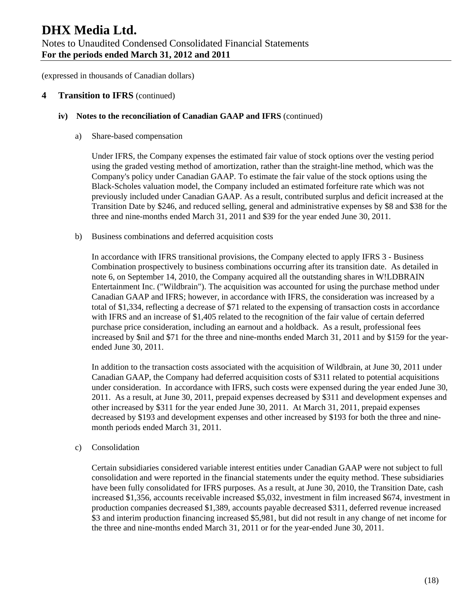#### **4 Transition to IFRS** (continued)

#### **iv) Notes to the reconciliation of Canadian GAAP and IFRS** (continued)

a) Share-based compensation

Under IFRS, the Company expenses the estimated fair value of stock options over the vesting period using the graded vesting method of amortization, rather than the straight-line method, which was the Company's policy under Canadian GAAP. To estimate the fair value of the stock options using the Black-Scholes valuation model, the Company included an estimated forfeiture rate which was not previously included under Canadian GAAP. As a result, contributed surplus and deficit increased at the Transition Date by \$246, and reduced selling, general and administrative expenses by \$8 and \$38 for the three and nine-months ended March 31, 2011 and \$39 for the year ended June 30, 2011.

b) Business combinations and deferred acquisition costs

In accordance with IFRS transitional provisions, the Company elected to apply IFRS 3 - Business Combination prospectively to business combinations occurring after its transition date. As detailed in note 6, on September 14, 2010, the Company acquired all the outstanding shares in W!LDBRAIN Entertainment Inc. ("Wildbrain"). The acquisition was accounted for using the purchase method under Canadian GAAP and IFRS; however, in accordance with IFRS, the consideration was increased by a total of \$1,334, reflecting a decrease of \$71 related to the expensing of transaction costs in accordance with IFRS and an increase of \$1,405 related to the recognition of the fair value of certain deferred purchase price consideration, including an earnout and a holdback. As a result, professional fees increased by \$nil and \$71 for the three and nine-months ended March 31, 2011 and by \$159 for the yearended June 30, 2011.

In addition to the transaction costs associated with the acquisition of Wildbrain, at June 30, 2011 under Canadian GAAP, the Company had deferred acquisition costs of \$311 related to potential acquisitions under consideration. In accordance with IFRS, such costs were expensed during the year ended June 30, 2011. As a result, at June 30, 2011, prepaid expenses decreased by \$311 and development expenses and other increased by \$311 for the year ended June 30, 2011. At March 31, 2011, prepaid expenses decreased by \$193 and development expenses and other increased by \$193 for both the three and ninemonth periods ended March 31, 2011.

#### c) Consolidation

Certain subsidiaries considered variable interest entities under Canadian GAAP were not subject to full consolidation and were reported in the financial statements under the equity method. These subsidiaries have been fully consolidated for IFRS purposes. As a result, at June 30, 2010, the Transition Date, cash increased \$1,356, accounts receivable increased \$5,032, investment in film increased \$674, investment in production companies decreased \$1,389, accounts payable decreased \$311, deferred revenue increased \$3 and interim production financing increased \$5,981, but did not result in any change of net income for the three and nine-months ended March 31, 2011 or for the year-ended June 30, 2011.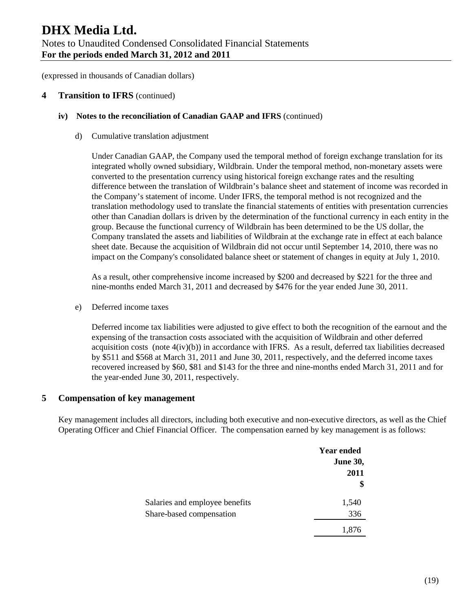#### **4 Transition to IFRS** (continued)

#### **iv) Notes to the reconciliation of Canadian GAAP and IFRS** (continued)

d) Cumulative translation adjustment

Under Canadian GAAP, the Company used the temporal method of foreign exchange translation for its integrated wholly owned subsidiary, Wildbrain. Under the temporal method, non-monetary assets were converted to the presentation currency using historical foreign exchange rates and the resulting difference between the translation of Wildbrain's balance sheet and statement of income was recorded in the Company's statement of income. Under IFRS, the temporal method is not recognized and the translation methodology used to translate the financial statements of entities with presentation currencies other than Canadian dollars is driven by the determination of the functional currency in each entity in the group. Because the functional currency of Wildbrain has been determined to be the US dollar, the Company translated the assets and liabilities of Wildbrain at the exchange rate in effect at each balance sheet date. Because the acquisition of Wildbrain did not occur until September 14, 2010, there was no impact on the Company's consolidated balance sheet or statement of changes in equity at July 1, 2010.

As a result, other comprehensive income increased by \$200 and decreased by \$221 for the three and nine-months ended March 31, 2011 and decreased by \$476 for the year ended June 30, 2011.

e) Deferred income taxes

Deferred income tax liabilities were adjusted to give effect to both the recognition of the earnout and the expensing of the transaction costs associated with the acquisition of Wildbrain and other deferred acquisition costs (note  $4(iv)(b)$ ) in accordance with IFRS. As a result, deferred tax liabilities decreased by \$511 and \$568 at March 31, 2011 and June 30, 2011, respectively, and the deferred income taxes recovered increased by \$60, \$81 and \$143 for the three and nine-months ended March 31, 2011 and for the year-ended June 30, 2011, respectively.

## **5 Compensation of key management**

Key management includes all directors, including both executive and non-executive directors, as well as the Chief Operating Officer and Chief Financial Officer. The compensation earned by key management is as follows:

|                                | <b>Year ended</b> |
|--------------------------------|-------------------|
|                                | <b>June 30,</b>   |
|                                | 2011              |
|                                | \$                |
| Salaries and employee benefits | 1,540             |
| Share-based compensation       | 336               |
|                                | 1,876             |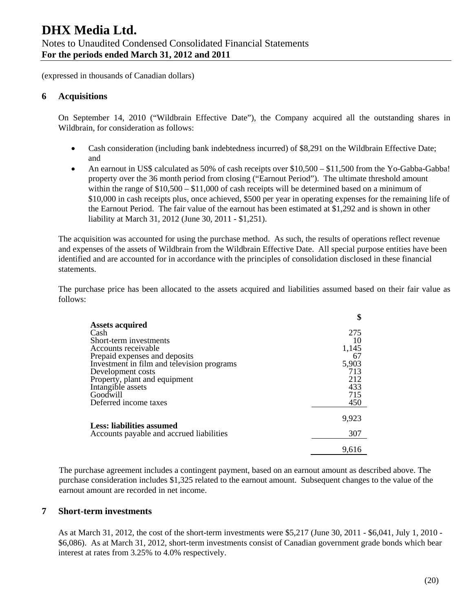# **6 Acquisitions**

On September 14, 2010 ("Wildbrain Effective Date"), the Company acquired all the outstanding shares in Wildbrain, for consideration as follows:

- Cash consideration (including bank indebtedness incurred) of \$8,291 on the Wildbrain Effective Date; and
- An earnout in US\$ calculated as 50% of cash receipts over \$10,500 \$11,500 from the Yo-Gabba-Gabba! property over the 36 month period from closing ("Earnout Period"). The ultimate threshold amount within the range of  $$10,500 - $11,000$  of cash receipts will be determined based on a minimum of \$10,000 in cash receipts plus, once achieved, \$500 per year in operating expenses for the remaining life of the Earnout Period. The fair value of the earnout has been estimated at \$1,292 and is shown in other liability at March 31, 2012 (June 30, 2011 - \$1,251).

The acquisition was accounted for using the purchase method. As such, the results of operations reflect revenue and expenses of the assets of Wildbrain from the Wildbrain Effective Date. All special purpose entities have been identified and are accounted for in accordance with the principles of consolidation disclosed in these financial statements.

The purchase price has been allocated to the assets acquired and liabilities assumed based on their fair value as follows:

|                                            | \$    |
|--------------------------------------------|-------|
| <b>Assets acquired</b>                     |       |
| Cash                                       | 275   |
| Short-term investments                     | 10    |
| Accounts receivable                        | 1,145 |
| Prepaid expenses and deposits              | 67    |
| Investment in film and television programs | 5,903 |
| Development costs                          | 713   |
| Property, plant and equipment              | 212   |
| Intangible assets                          | 433   |
| Goodwill                                   | 715   |
| Deferred income taxes                      | 450   |
|                                            | 9,923 |
| Less: liabilities assumed                  |       |
| Accounts payable and accrued liabilities   | 307   |
|                                            | 9.616 |

The purchase agreement includes a contingent payment, based on an earnout amount as described above. The purchase consideration includes \$1,325 related to the earnout amount. Subsequent changes to the value of the earnout amount are recorded in net income.

## **7 Short-term investments**

As at March 31, 2012, the cost of the short-term investments were \$5,217 (June 30, 2011 - \$6,041, July 1, 2010 - \$6,086). As at March 31, 2012, short-term investments consist of Canadian government grade bonds which bear interest at rates from 3.25% to 4.0% respectively.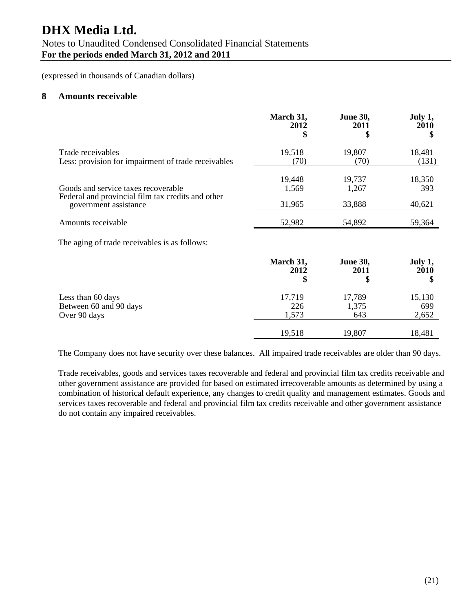# **DHX Media Ltd.**

# Notes to Unaudited Condensed Consolidated Financial Statements **For the periods ended March 31, 2012 and 2011**

(expressed in thousands of Canadian dollars)

#### **8 Amounts receivable**

|                                                     | March 31, | <b>June 30,</b> | July 1, |
|-----------------------------------------------------|-----------|-----------------|---------|
|                                                     | 2012      | 2011            | 2010    |
|                                                     | \$        | \$              | \$      |
| Trade receivables                                   | 19,518    | 19,807          | 18,481  |
| Less: provision for impairment of trade receivables | (70)      | (70)            | (131)   |
| Goods and service taxes recoverable                 | 19,448    | 19,737          | 18,350  |
| Federal and provincial film tax credits and other   | 1,569     | 1,267           | 393     |
| government assistance                               | 31,965    | 33,888          | 40,621  |
| Amounts receivable                                  | 52,982    | 54,892          | 59,364  |
| The aging of trade receivables is as follows:       |           |                 |         |
|                                                     | March 31, | <b>June 30,</b> | July 1, |
|                                                     | 2012      | 2011            | 2010    |
|                                                     | \$        | \$              | \$      |
| Less than 60 days                                   | 17,719    | 17,789          | 15,130  |
| Between 60 and 90 days                              | 226       | 1,375           | 699     |
| Over 90 days                                        | 1,573     | 643             | 2,652   |
|                                                     | 19,518    | 19,807          | 18,481  |

The Company does not have security over these balances. All impaired trade receivables are older than 90 days.

Trade receivables, goods and services taxes recoverable and federal and provincial film tax credits receivable and other government assistance are provided for based on estimated irrecoverable amounts as determined by using a combination of historical default experience, any changes to credit quality and management estimates. Goods and services taxes recoverable and federal and provincial film tax credits receivable and other government assistance do not contain any impaired receivables.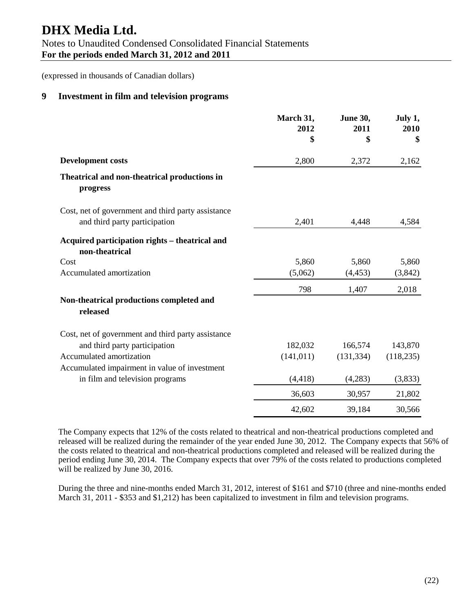# **DHX Media Ltd.**

(expressed in thousands of Canadian dollars)

# **9 Investment in film and television programs**

|                                                                                     | March 31,<br>2012<br>\$ | June 30,<br>2011<br>\$ | July 1,<br>2010<br>\$ |
|-------------------------------------------------------------------------------------|-------------------------|------------------------|-----------------------|
| <b>Development costs</b>                                                            | 2,800                   | 2,372                  | 2,162                 |
| Theatrical and non-theatrical productions in<br>progress                            |                         |                        |                       |
| Cost, net of government and third party assistance<br>and third party participation | 2,401                   | 4,448                  | 4,584                 |
| Acquired participation rights - theatrical and<br>non-theatrical                    |                         |                        |                       |
| Cost                                                                                | 5,860                   | 5,860                  | 5,860                 |
| Accumulated amortization                                                            | (5,062)                 | (4, 453)               | (3,842)               |
|                                                                                     | 798                     | 1,407                  | 2,018                 |
| Non-theatrical productions completed and<br>released                                |                         |                        |                       |
| Cost, net of government and third party assistance                                  |                         |                        |                       |
| and third party participation                                                       | 182,032                 | 166,574                | 143,870               |
| Accumulated amortization                                                            | (141, 011)              | (131, 334)             | (118, 235)            |
| Accumulated impairment in value of investment                                       |                         |                        |                       |
| in film and television programs                                                     | (4, 418)                | (4,283)                | (3,833)               |
|                                                                                     | 36,603                  | 30,957                 | 21,802                |
|                                                                                     | 42,602                  | 39,184                 | 30,566                |

The Company expects that 12% of the costs related to theatrical and non-theatrical productions completed and released will be realized during the remainder of the year ended June 30, 2012. The Company expects that 56% of the costs related to theatrical and non-theatrical productions completed and released will be realized during the period ending June 30, 2014. The Company expects that over 79% of the costs related to productions completed will be realized by June 30, 2016.

During the three and nine-months ended March 31, 2012, interest of \$161 and \$710 (three and nine-months ended March 31, 2011 - \$353 and \$1,212) has been capitalized to investment in film and television programs.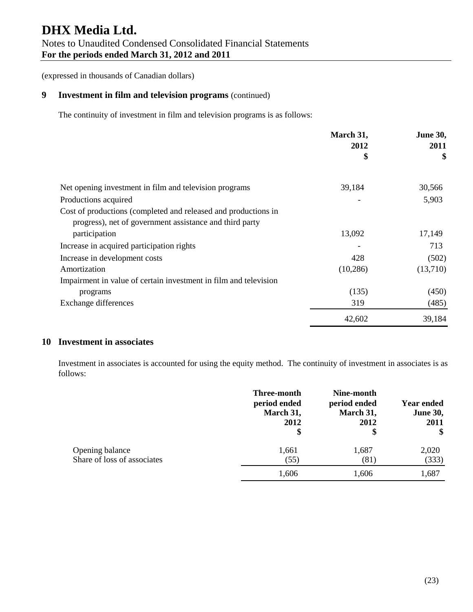# **9 Investment in film and television programs** (continued)

The continuity of investment in film and television programs is as follows:

|                                                                                                                           | March 31,  | <b>June 30,</b><br>2011 |
|---------------------------------------------------------------------------------------------------------------------------|------------|-------------------------|
|                                                                                                                           | 2012<br>\$ | \$                      |
| Net opening investment in film and television programs                                                                    | 39,184     | 30,566                  |
| Productions acquired                                                                                                      |            | 5,903                   |
| Cost of productions (completed and released and productions in<br>progress), net of government assistance and third party |            |                         |
| participation                                                                                                             | 13,092     | 17,149                  |
| Increase in acquired participation rights                                                                                 |            | 713                     |
| Increase in development costs                                                                                             | 428        | (502)                   |
| Amortization                                                                                                              | (10, 286)  | (13,710)                |
| Impairment in value of certain investment in film and television                                                          |            |                         |
| programs                                                                                                                  | (135)      | (450)                   |
| Exchange differences                                                                                                      | 319        | (485)                   |
|                                                                                                                           | 42,602     | 39,184                  |

# **10 Investment in associates**

Investment in associates is accounted for using the equity method. The continuity of investment in associates is as follows:

|                                                | Three-month<br>period ended<br>March 31,<br>2012<br>\$ | Nine-month<br>period ended<br>March 31,<br>2012<br>\$ | <b>Year ended</b><br><b>June 30,</b><br>2011<br>\$ |
|------------------------------------------------|--------------------------------------------------------|-------------------------------------------------------|----------------------------------------------------|
| Opening balance<br>Share of loss of associates | 1,661<br>(55)                                          | 1,687<br>(81)                                         | 2,020<br>(333)                                     |
|                                                | 1,606                                                  | 1,606                                                 | 1,687                                              |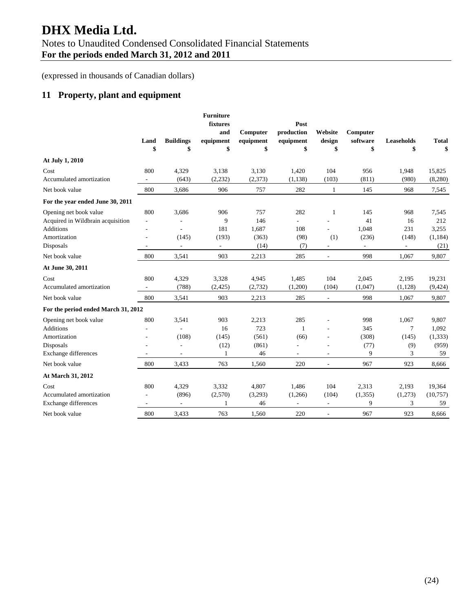(expressed in thousands of Canadian dollars)

# **11 Property, plant and equipment**

|                                     | Land<br>\$ | <b>Buildings</b><br>\$ | <b>Furniture</b><br>fixtures<br>and<br>equipment<br>\$ | Computer<br>equipment<br>\$ | Post<br>production<br>equipment<br>\$ | Website<br>design<br>\$  | Computer<br>software<br>\$ | <b>Leaseholds</b><br>\$  | <b>Total</b><br>\$ |
|-------------------------------------|------------|------------------------|--------------------------------------------------------|-----------------------------|---------------------------------------|--------------------------|----------------------------|--------------------------|--------------------|
| At July 1, 2010                     |            |                        |                                                        |                             |                                       |                          |                            |                          |                    |
| Cost                                | 800        | 4,329                  | 3,138                                                  | 3,130                       | 1,420                                 | 104                      | 956                        | 1,948                    | 15,825             |
| Accumulated amortization            | $\sim$     | (643)                  | (2, 232)                                               | (2,373)                     | (1, 138)                              | (103)                    | (811)                      | (980)                    | (8,280)            |
| Net book value                      | 800        | 3,686                  | 906                                                    | 757                         | 282                                   | $\mathbf{1}$             | 145                        | 968                      | 7,545              |
| For the year ended June 30, 2011    |            |                        |                                                        |                             |                                       |                          |                            |                          |                    |
| Opening net book value              | 800        | 3,686                  | 906                                                    | 757                         | 282                                   | 1                        | 145                        | 968                      | 7,545              |
| Acquired in Wildbrain acquisition   | $\sim$     |                        | 9                                                      | 146                         | ÷.                                    |                          | 41                         | 16                       | 212                |
| Additions                           | ÷,         |                        | 181                                                    | 1,687                       | 108                                   | ÷.                       | 1,048                      | 231                      | 3,255              |
| Amortization                        |            | (145)                  | (193)                                                  | (363)                       | (98)                                  | (1)                      | (236)                      | (148)                    | (1, 184)           |
| Disposals                           |            | $\overline{a}$         | $\overline{\phantom{a}}$                               | (14)                        | (7)                                   | $\overline{\phantom{a}}$ | $\overline{\phantom{a}}$   | $\overline{\phantom{a}}$ | (21)               |
| Net book value                      | 800        | 3,541                  | 903                                                    | 2,213                       | 285                                   | $\sim$                   | 998                        | 1,067                    | 9,807              |
| At June 30, 2011                    |            |                        |                                                        |                             |                                       |                          |                            |                          |                    |
| Cost                                | 800        | 4,329                  | 3,328                                                  | 4,945                       | 1,485                                 | 104                      | 2,045                      | 2,195                    | 19,231             |
| Accumulated amortization            |            | (788)                  | (2,425)                                                | (2,732)                     | (1,200)                               | (104)                    | (1,047)                    | (1, 128)                 | (9, 424)           |
| Net book value                      | 800        | 3,541                  | 903                                                    | 2,213                       | 285                                   | $\Box$                   | 998                        | 1,067                    | 9,807              |
| For the period ended March 31, 2012 |            |                        |                                                        |                             |                                       |                          |                            |                          |                    |
| Opening net book value              | 800        | 3,541                  | 903                                                    | 2,213                       | 285                                   | $\overline{\phantom{a}}$ | 998                        | 1,067                    | 9,807              |
| <b>Additions</b>                    |            |                        | 16                                                     | 723                         | $\mathbf{1}$                          | $\overline{\phantom{a}}$ | 345                        | 7                        | 1,092              |
| Amortization                        |            | (108)                  | (145)                                                  | (561)                       | (66)                                  | $\overline{a}$           | (308)                      | (145)                    | (1, 333)           |
| Disposals                           |            |                        | (12)                                                   | (861)                       |                                       | $\overline{a}$           | (77)                       | (9)                      | (959)              |
| <b>Exchange differences</b>         |            |                        | 1                                                      | 46                          | ÷                                     |                          | 9                          | 3                        | 59                 |
| Net book value                      | 800        | 3,433                  | 763                                                    | 1.560                       | 220                                   | $\overline{\phantom{a}}$ | 967                        | 923                      | 8,666              |
| At March 31, 2012                   |            |                        |                                                        |                             |                                       |                          |                            |                          |                    |
| Cost                                | 800        | 4,329                  | 3,332                                                  | 4,807                       | 1,486                                 | 104                      | 2,313                      | 2,193                    | 19,364             |
| Accumulated amortization            |            | (896)                  | (2,570)                                                | (3,293)                     | (1,266)                               | (104)                    | (1, 355)                   | (1,273)                  | (10,757)           |
| Exchange differences                | $\sim$     | $\overline{a}$         | 1                                                      | 46                          | $\overline{\phantom{a}}$              | $\overline{\phantom{a}}$ | 9                          | 3                        | 59                 |
| Net book value                      | 800        | 3.433                  | 763                                                    | 1.560                       | 220                                   | J.                       | 967                        | 923                      | 8.666              |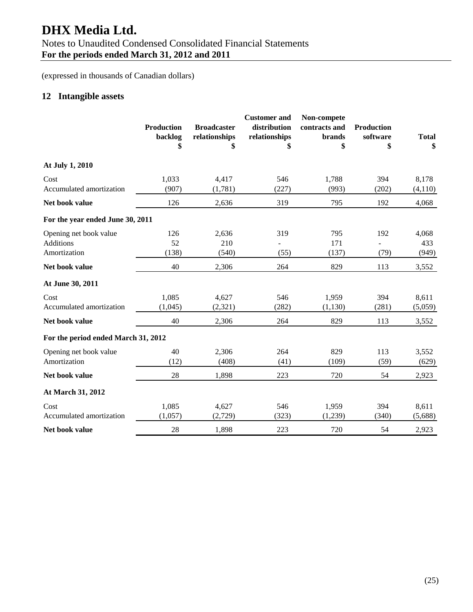# **DHX Media Ltd.**

# Notes to Unaudited Condensed Consolidated Financial Statements

**For the periods ended March 31, 2012 and 2011** 

(expressed in thousands of Canadian dollars)

# **12 Intangible assets**

|                                                            | <b>Production</b><br>backlog<br>\$ | <b>Broadcaster</b><br>relationships<br>\$ | <b>Customer</b> and<br>distribution<br>relationships<br>\$ | Non-compete<br>contracts and<br><b>brands</b><br>\$ | <b>Production</b><br>software<br>\$ | <b>Total</b><br>\$    |
|------------------------------------------------------------|------------------------------------|-------------------------------------------|------------------------------------------------------------|-----------------------------------------------------|-------------------------------------|-----------------------|
| At July 1, 2010                                            |                                    |                                           |                                                            |                                                     |                                     |                       |
| Cost<br>Accumulated amortization                           | 1,033<br>(907)                     | 4,417<br>(1,781)                          | 546<br>(227)                                               | 1,788<br>(993)                                      | 394<br>(202)                        | 8,178<br>(4,110)      |
| Net book value                                             | 126                                | 2,636                                     | 319                                                        | 795                                                 | 192                                 | 4,068                 |
| For the year ended June 30, 2011                           |                                    |                                           |                                                            |                                                     |                                     |                       |
| Opening net book value<br><b>Additions</b><br>Amortization | 126<br>52<br>(138)                 | 2,636<br>210<br>(540)                     | 319<br>(55)                                                | 795<br>171<br>(137)                                 | 192<br>(79)                         | 4,068<br>433<br>(949) |
| Net book value                                             | 40                                 | 2,306                                     | 264                                                        | 829                                                 | 113                                 | 3,552                 |
| At June 30, 2011                                           |                                    |                                           |                                                            |                                                     |                                     |                       |
| Cost<br>Accumulated amortization                           | 1,085<br>(1,045)                   | 4,627<br>(2,321)                          | 546<br>(282)                                               | 1,959<br>(1,130)                                    | 394<br>(281)                        | 8,611<br>(5,059)      |
| Net book value                                             | 40                                 | 2,306                                     | 264                                                        | 829                                                 | 113                                 | 3,552                 |
| For the period ended March 31, 2012                        |                                    |                                           |                                                            |                                                     |                                     |                       |
| Opening net book value<br>Amortization                     | 40<br>(12)                         | 2,306<br>(408)                            | 264<br>(41)                                                | 829<br>(109)                                        | 113<br>(59)                         | 3,552<br>(629)        |
| Net book value                                             | 28                                 | 1,898                                     | 223                                                        | 720                                                 | 54                                  | 2,923                 |
| At March 31, 2012                                          |                                    |                                           |                                                            |                                                     |                                     |                       |
| Cost<br>Accumulated amortization                           | 1,085<br>(1,057)                   | 4,627<br>(2,729)                          | 546<br>(323)                                               | 1,959<br>(1,239)                                    | 394<br>(340)                        | 8,611<br>(5,688)      |
| Net book value                                             | 28                                 | 1,898                                     | 223                                                        | 720                                                 | 54                                  | 2,923                 |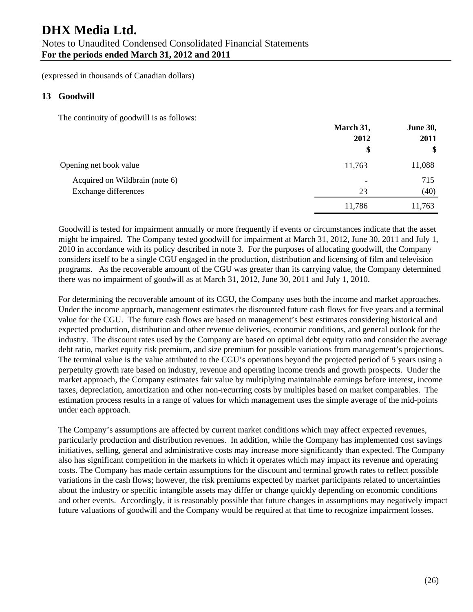# **DHX Media Ltd.**

# Notes to Unaudited Condensed Consolidated Financial Statements **For the periods ended March 31, 2012 and 2011**

(expressed in thousands of Canadian dollars)

# **13 Goodwill**

The continuity of goodwill is as follows:

|                                | March 31,<br>2012        | June 30,<br>2011 |
|--------------------------------|--------------------------|------------------|
|                                | \$                       | \$               |
| Opening net book value         | 11,763                   | 11,088           |
| Acquired on Wildbrain (note 6) | $\overline{\phantom{0}}$ | 715              |
| Exchange differences           | 23                       | (40)             |
|                                | 11,786                   | 11,763           |

Goodwill is tested for impairment annually or more frequently if events or circumstances indicate that the asset might be impaired. The Company tested goodwill for impairment at March 31, 2012, June 30, 2011 and July 1, 2010 in accordance with its policy described in note 3. For the purposes of allocating goodwill, the Company considers itself to be a single CGU engaged in the production, distribution and licensing of film and television programs. As the recoverable amount of the CGU was greater than its carrying value, the Company determined there was no impairment of goodwill as at March 31, 2012, June 30, 2011 and July 1, 2010.

For determining the recoverable amount of its CGU, the Company uses both the income and market approaches. Under the income approach, management estimates the discounted future cash flows for five years and a terminal value for the CGU. The future cash flows are based on management's best estimates considering historical and expected production, distribution and other revenue deliveries, economic conditions, and general outlook for the industry. The discount rates used by the Company are based on optimal debt equity ratio and consider the average debt ratio, market equity risk premium, and size premium for possible variations from management's projections. The terminal value is the value attributed to the CGU's operations beyond the projected period of 5 years using a perpetuity growth rate based on industry, revenue and operating income trends and growth prospects. Under the market approach, the Company estimates fair value by multiplying maintainable earnings before interest, income taxes, depreciation, amortization and other non-recurring costs by multiples based on market comparables. The estimation process results in a range of values for which management uses the simple average of the mid-points under each approach.

The Company's assumptions are affected by current market conditions which may affect expected revenues, particularly production and distribution revenues. In addition, while the Company has implemented cost savings initiatives, selling, general and administrative costs may increase more significantly than expected. The Company also has significant competition in the markets in which it operates which may impact its revenue and operating costs. The Company has made certain assumptions for the discount and terminal growth rates to reflect possible variations in the cash flows; however, the risk premiums expected by market participants related to uncertainties about the industry or specific intangible assets may differ or change quickly depending on economic conditions and other events. Accordingly, it is reasonably possible that future changes in assumptions may negatively impact future valuations of goodwill and the Company would be required at that time to recognize impairment losses.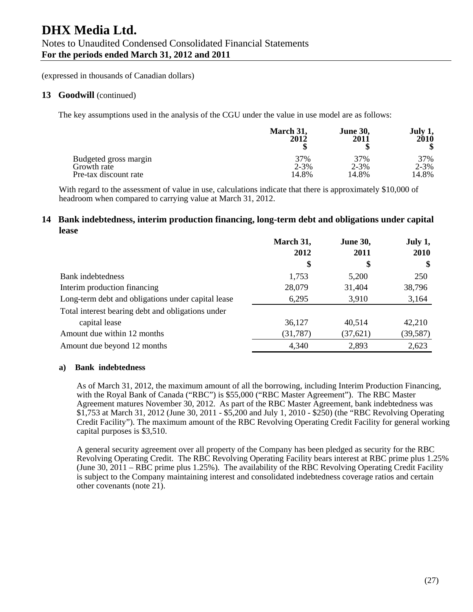#### 13 Goodwill (continued)

The key assumptions used in the analysis of the CGU under the value in use model are as follows:

|                       | March 31, | <b>June 30,</b> | July 1,   |
|-----------------------|-----------|-----------------|-----------|
|                       | 2012      | 2011            | 2010      |
| Budgeted gross margin | 37%       | 37%             | 37%       |
| Growth rate           | $2 - 3%$  | $2 - 3\%$       | $2 - 3\%$ |
| Pre-tax discount rate | 14.8%     | 14.8%           | 14.8%     |

With regard to the assessment of value in use, calculations indicate that there is approximately \$10,000 of headroom when compared to carrying value at March 31, 2012.

### **14 Bank indebtedness, interim production financing, long-term debt and obligations under capital lease**

|                                                    | March 31, | <b>June 30,</b> | July 1,   |
|----------------------------------------------------|-----------|-----------------|-----------|
|                                                    | 2012      | 2011            | 2010      |
|                                                    | \$        | \$              | \$        |
| <b>Bank</b> indebtedness                           | 1,753     | 5,200           | 250       |
| Interim production financing                       | 28,079    | 31,404          | 38,796    |
| Long-term debt and obligations under capital lease | 6,295     | 3,910           | 3,164     |
| Total interest bearing debt and obligations under  |           |                 |           |
| capital lease                                      | 36,127    | 40,514          | 42,210    |
| Amount due within 12 months                        | (31, 787) | (37, 621)       | (39, 587) |
| Amount due beyond 12 months                        | 4,340     | 2,893           | 2,623     |

#### **a) Bank indebtedness**

As of March 31, 2012, the maximum amount of all the borrowing, including Interim Production Financing, with the Royal Bank of Canada ("RBC") is \$55,000 ("RBC Master Agreement"). The RBC Master Agreement matures November 30, 2012. As part of the RBC Master Agreement, bank indebtedness was \$1,753 at March 31, 2012 (June 30, 2011 - \$5,200 and July 1, 2010 - \$250) (the "RBC Revolving Operating Credit Facility"). The maximum amount of the RBC Revolving Operating Credit Facility for general working capital purposes is \$3,510.

A general security agreement over all property of the Company has been pledged as security for the RBC Revolving Operating Credit. The RBC Revolving Operating Facility bears interest at RBC prime plus 1.25% (June 30, 2011 – RBC prime plus 1.25%). The availability of the RBC Revolving Operating Credit Facility is subject to the Company maintaining interest and consolidated indebtedness coverage ratios and certain other covenants (note 21).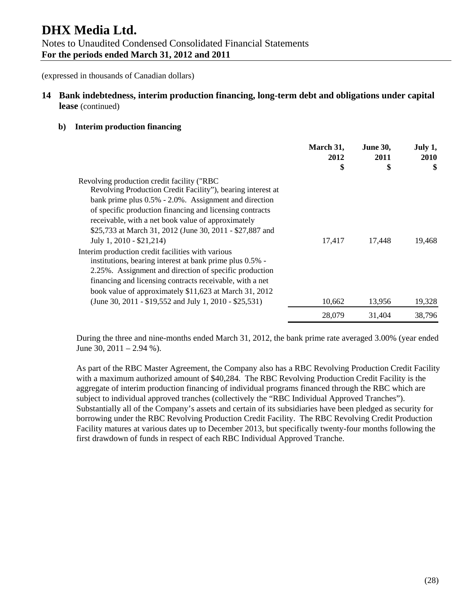# **14 Bank indebtedness, interim production financing, long-term debt and obligations under capital lease** (continued)

#### **b) Interim production financing**

|                                                                                                                                                                                                                                                                                                                                                                                 | March 31,<br>2012 | <b>June 30,</b><br>2011 | July 1,<br>2010 |
|---------------------------------------------------------------------------------------------------------------------------------------------------------------------------------------------------------------------------------------------------------------------------------------------------------------------------------------------------------------------------------|-------------------|-------------------------|-----------------|
|                                                                                                                                                                                                                                                                                                                                                                                 | \$                | \$                      | \$              |
| Revolving production credit facility ("RBC<br>Revolving Production Credit Facility"), bearing interest at<br>bank prime plus $0.5\%$ - 2.0%. Assignment and direction<br>of specific production financing and licensing contracts<br>receivable, with a net book value of approximately<br>\$25,733 at March 31, 2012 (June 30, 2011 - \$27,887 and<br>July 1, 2010 - \$21,214) | 17,417            | 17,448                  | 19,468          |
| Interim production credit facilities with various<br>institutions, bearing interest at bank prime plus 0.5% -<br>2.25%. Assignment and direction of specific production<br>financing and licensing contracts receivable, with a net<br>book value of approximately \$11,623 at March 31, 2012<br>(June 30, 2011 - \$19,552 and July 1, 2010 - \$25,531)                         | 10,662            | 13,956                  | 19,328          |
|                                                                                                                                                                                                                                                                                                                                                                                 | 28,079            | 31,404                  | 38,796          |

During the three and nine-months ended March 31, 2012, the bank prime rate averaged 3.00% (year ended June 30,  $2011 - 2.94$  %).

As part of the RBC Master Agreement, the Company also has a RBC Revolving Production Credit Facility with a maximum authorized amount of \$40,284. The RBC Revolving Production Credit Facility is the aggregate of interim production financing of individual programs financed through the RBC which are subject to individual approved tranches (collectively the "RBC Individual Approved Tranches"). Substantially all of the Company's assets and certain of its subsidiaries have been pledged as security for borrowing under the RBC Revolving Production Credit Facility. The RBC Revolving Credit Production Facility matures at various dates up to December 2013, but specifically twenty-four months following the first drawdown of funds in respect of each RBC Individual Approved Tranche.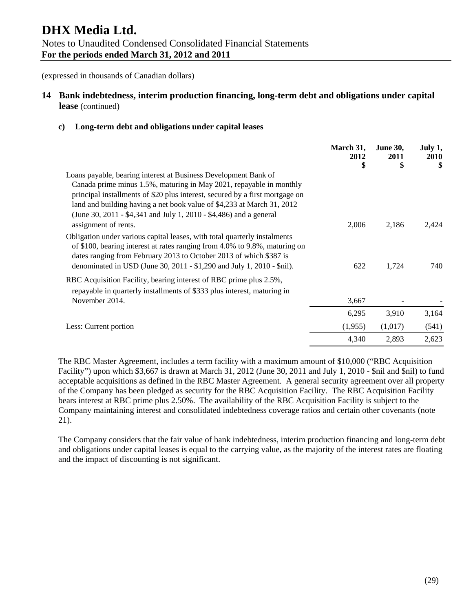# **14 Bank indebtedness, interim production financing, long-term debt and obligations under capital lease** (continued)

#### **c) Long-term debt and obligations under capital leases**

|                                                                                                                                                                                                                                                                                                         | March 31,<br>2012<br>\$ | <b>June 30,</b><br>2011<br>\$ | July 1,<br><b>2010</b><br>\$ |
|---------------------------------------------------------------------------------------------------------------------------------------------------------------------------------------------------------------------------------------------------------------------------------------------------------|-------------------------|-------------------------------|------------------------------|
| Loans payable, bearing interest at Business Development Bank of                                                                                                                                                                                                                                         |                         |                               |                              |
| Canada prime minus 1.5%, maturing in May 2021, repayable in monthly                                                                                                                                                                                                                                     |                         |                               |                              |
| principal installments of \$20 plus interest, secured by a first mortgage on                                                                                                                                                                                                                            |                         |                               |                              |
| land and building having a net book value of \$4,233 at March 31, 2012                                                                                                                                                                                                                                  |                         |                               |                              |
| (June 30, 2011 - \$4,341 and July 1, 2010 - \$4,486) and a general                                                                                                                                                                                                                                      |                         |                               |                              |
| assignment of rents.                                                                                                                                                                                                                                                                                    | 2,006                   | 2,186                         | 2,424                        |
| Obligation under various capital leases, with total quarterly instalments<br>of \$100, bearing interest at rates ranging from 4.0% to 9.8%, maturing on<br>dates ranging from February 2013 to October 2013 of which \$387 is<br>denominated in USD (June 30, 2011 - \$1,290 and July 1, 2010 - \$nil). | 622                     | 1,724                         | 740                          |
| RBC Acquisition Facility, bearing interest of RBC prime plus 2.5%,<br>repayable in quarterly installments of \$333 plus interest, maturing in                                                                                                                                                           |                         |                               |                              |
| November 2014.                                                                                                                                                                                                                                                                                          | 3,667                   |                               |                              |
|                                                                                                                                                                                                                                                                                                         | 6,295                   | 3,910                         | 3,164                        |
| Less: Current portion                                                                                                                                                                                                                                                                                   | (1,955)                 | (1,017)                       | (541)                        |
|                                                                                                                                                                                                                                                                                                         | 4,340                   | 2,893                         | 2,623                        |

The RBC Master Agreement, includes a term facility with a maximum amount of \$10,000 ("RBC Acquisition Facility") upon which \$3,667 is drawn at March 31, 2012 (June 30, 2011 and July 1, 2010 - \$nil and \$nil) to fund acceptable acquisitions as defined in the RBC Master Agreement. A general security agreement over all property of the Company has been pledged as security for the RBC Acquisition Facility. The RBC Acquisition Facility bears interest at RBC prime plus 2.50%. The availability of the RBC Acquisition Facility is subject to the Company maintaining interest and consolidated indebtedness coverage ratios and certain other covenants (note 21).

The Company considers that the fair value of bank indebtedness, interim production financing and long-term debt and obligations under capital leases is equal to the carrying value, as the majority of the interest rates are floating and the impact of discounting is not significant.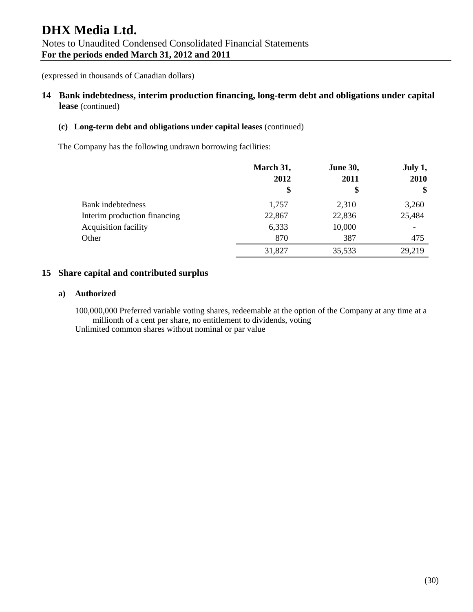# **14 Bank indebtedness, interim production financing, long-term debt and obligations under capital lease** (continued)

#### **(c) Long-term debt and obligations under capital leases** (continued)

The Company has the following undrawn borrowing facilities:

|                              | March 31, | <b>June 30,</b><br>2012<br>2011 |                       |
|------------------------------|-----------|---------------------------------|-----------------------|
|                              | \$        |                                 | 2010<br>$\mathbf{\$}$ |
| Bank indebtedness            | 1,757     | 2,310                           | 3,260                 |
| Interim production financing | 22,867    | 22,836                          | 25,484                |
| <b>Acquisition facility</b>  | 6,333     | 10,000                          |                       |
| Other                        | 870       | 387                             | 475                   |
|                              | 31,827    | 35,533                          | 29,219                |

## **15 Share capital and contributed surplus**

#### **a) Authorized**

100,000,000 Preferred variable voting shares, redeemable at the option of the Company at any time at a millionth of a cent per share, no entitlement to dividends, voting Unlimited common shares without nominal or par value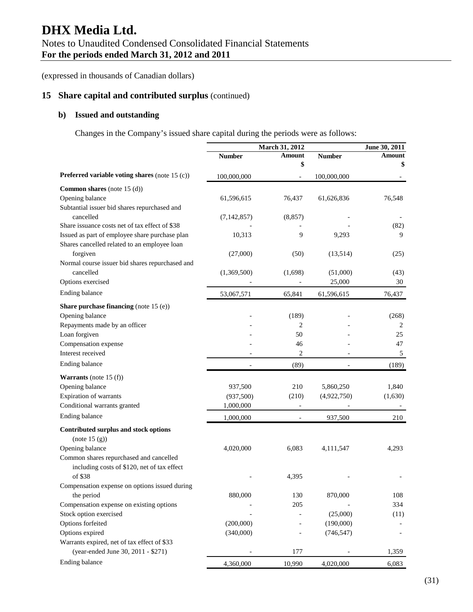(expressed in thousands of Canadian dollars)

# **15 Share capital and contributed surplus** (continued)

## **b) Issued and outstanding**

Changes in the Company's issued share capital during the periods were as follows:

|                                                 |               | March 31, 2012           |               | June 30, 2011 |  |
|-------------------------------------------------|---------------|--------------------------|---------------|---------------|--|
|                                                 | <b>Number</b> | Amount                   | <b>Number</b> | Amount        |  |
|                                                 |               | \$                       |               | \$            |  |
| Preferred variable voting shares (note 15 (c))  | 100,000,000   |                          | 100,000,000   |               |  |
| Common shares (note $15$ (d))                   |               |                          |               |               |  |
| Opening balance                                 | 61,596,615    | 76,437                   | 61,626,836    | 76,548        |  |
| Subtantial issuer bid shares repurchased and    |               |                          |               |               |  |
| cancelled                                       | (7, 142, 857) | (8, 857)                 |               |               |  |
| Share issuance costs net of tax effect of \$38  |               |                          |               | (82)          |  |
| Issued as part of employee share purchase plan  | 10,313        | 9                        | 9,293         | 9             |  |
| Shares cancelled related to an employee loan    |               |                          |               |               |  |
| forgiven                                        | (27,000)      | (50)                     | (13,514)      | (25)          |  |
| Normal course issuer bid shares repurchased and |               |                          |               |               |  |
| cancelled                                       | (1,369,500)   | (1,698)                  | (51,000)      | (43)          |  |
| Options exercised                               |               |                          | 25,000        | 30            |  |
| Ending balance                                  | 53,067,571    | 65,841                   | 61,596,615    | 76,437        |  |
| <b>Share purchase financing</b> (note 15 (e))   |               |                          |               |               |  |
| Opening balance                                 |               | (189)                    |               | (268)         |  |
| Repayments made by an officer                   |               | 2                        |               | 2             |  |
| Loan forgiven                                   |               | 50                       |               | 25            |  |
| Compensation expense                            |               | 46                       |               | 47            |  |
| Interest received                               |               | 2                        |               | 5             |  |
| Ending balance                                  |               | (89)                     |               | (189)         |  |
| <b>Warrants</b> (note 15 $(f)$ )                |               |                          |               |               |  |
| Opening balance                                 | 937,500       | 210                      | 5,860,250     | 1,840         |  |
| Expiration of warrants                          | (937,500)     | (210)                    | (4,922,750)   | (1,630)       |  |
| Conditional warrants granted                    | 1,000,000     |                          |               |               |  |
| Ending balance                                  | 1,000,000     | $\overline{\phantom{0}}$ | 937,500       | 210           |  |
| Contributed surplus and stock options           |               |                          |               |               |  |
| (note 15(g))                                    |               |                          |               |               |  |
| Opening balance                                 | 4,020,000     | 6,083                    | 4,111,547     | 4,293         |  |
| Common shares repurchased and cancelled         |               |                          |               |               |  |
| including costs of \$120, net of tax effect     |               |                          |               |               |  |
| of \$38                                         |               | 4,395                    |               |               |  |
| Compensation expense on options issued during   |               |                          |               |               |  |
| the period                                      | 880,000       | 130                      | 870,000       | 108           |  |
| Compensation expense on existing options        |               | 205                      |               | 334           |  |
| Stock option exercised                          |               |                          | (25,000)      | (11)          |  |
| Options forfeited                               | (200,000)     |                          | (190,000)     |               |  |
| Options expired                                 | (340,000)     |                          | (746, 547)    |               |  |
| Warrants expired, net of tax effect of \$33     |               |                          |               |               |  |
| (year-ended June 30, 2011 - \$271)              |               | 177                      |               | 1,359         |  |
| Ending balance                                  | 4,360,000     | 10,990                   | 4,020,000     | 6,083         |  |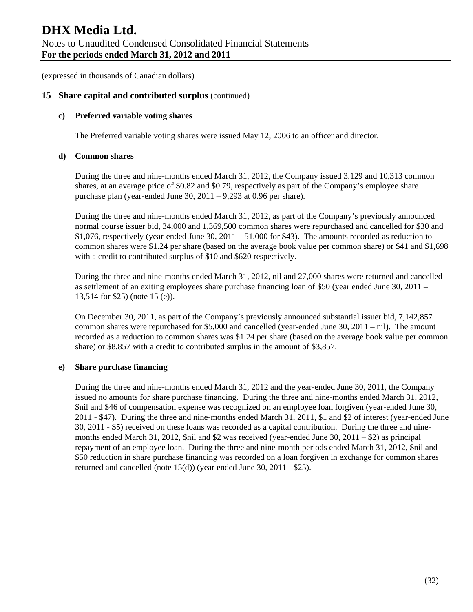## **15 Share capital and contributed surplus** (continued)

#### **c) Preferred variable voting shares**

The Preferred variable voting shares were issued May 12, 2006 to an officer and director.

#### **d) Common shares**

During the three and nine-months ended March 31, 2012, the Company issued 3,129 and 10,313 common shares, at an average price of \$0.82 and \$0.79, respectively as part of the Company's employee share purchase plan (year-ended June 30, 2011 – 9,293 at 0.96 per share).

During the three and nine-months ended March 31, 2012, as part of the Company's previously announced normal course issuer bid, 34,000 and 1,369,500 common shares were repurchased and cancelled for \$30 and \$1,076, respectively (year-ended June 30, 2011 – 51,000 for \$43). The amounts recorded as reduction to common shares were \$1.24 per share (based on the average book value per common share) or \$41 and \$1,698 with a credit to contributed surplus of \$10 and \$620 respectively.

During the three and nine-months ended March 31, 2012, nil and 27,000 shares were returned and cancelled as settlement of an exiting employees share purchase financing loan of \$50 (year ended June 30, 2011 – 13,514 for \$25) (note 15 (e)).

On December 30, 2011, as part of the Company's previously announced substantial issuer bid, 7,142,857 common shares were repurchased for \$5,000 and cancelled (year-ended June 30, 2011 – nil). The amount recorded as a reduction to common shares was \$1.24 per share (based on the average book value per common share) or \$8,857 with a credit to contributed surplus in the amount of \$3,857.

#### **e) Share purchase financing**

During the three and nine-months ended March 31, 2012 and the year-ended June 30, 2011, the Company issued no amounts for share purchase financing. During the three and nine-months ended March 31, 2012, \$nil and \$46 of compensation expense was recognized on an employee loan forgiven (year-ended June 30, 2011 - \$47). During the three and nine-months ended March 31, 2011, \$1 and \$2 of interest (year-ended June 30, 2011 - \$5) received on these loans was recorded as a capital contribution. During the three and ninemonths ended March 31, 2012, \$nil and \$2 was received (year-ended June 30, 2011 – \$2) as principal repayment of an employee loan. During the three and nine-month periods ended March 31, 2012, \$nil and \$50 reduction in share purchase financing was recorded on a loan forgiven in exchange for common shares returned and cancelled (note 15(d)) (year ended June 30, 2011 - \$25).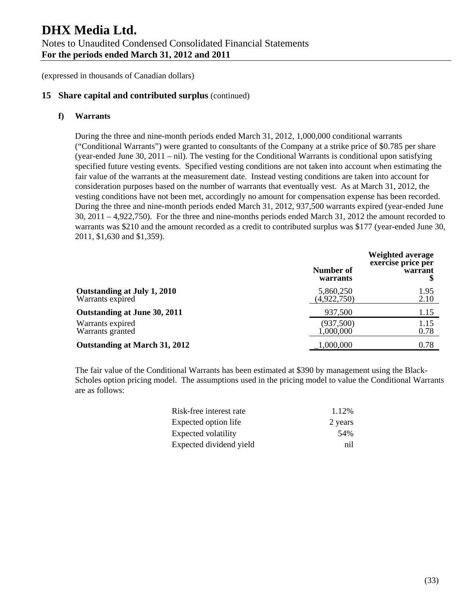## **15 Share capital and contributed surplus** (continued)

#### **f) Warrants**

During the three and nine-month periods ended March 31, 2012, 1,000,000 conditional warrants ("Conditional Warrants") were granted to consultants of the Company at a strike price of \$0.785 per share (year-ended June 30, 2011 – nil). The vesting for the Conditional Warrants is conditional upon satisfying specified future vesting events. Specified vesting conditions are not taken into account when estimating the fair value of the warrants at the measurement date. Instead vesting conditions are taken into account for consideration purposes based on the number of warrants that eventually vest. As at March 31, 2012, the vesting conditions have not been met, accordingly no amount for compensation expense has been recorded. During the three and nine-month periods ended March 31, 2012, 937,500 warrants expired (year-ended June 30, 2011 – 4,922,750). For the three and nine-months periods ended March 31, 2012 the amount recorded to warrants was \$210 and the amount recorded as a credit to contributed surplus was \$177 (year-ended June 30, 2011, \$1,630 and \$1,359).

|                                                 | Number of<br>warrants    | Weighted average<br>exercise price per<br>warrant |
|-------------------------------------------------|--------------------------|---------------------------------------------------|
| Outstanding at July 1, 2010<br>Warrants expired | 5,860,250<br>(4,922,750) | 1.95<br>2.10                                      |
| Outstanding at June 30, 2011                    | 937,500                  | 1.15                                              |
| Warrants expired<br>Warrants granted            | (937,500)<br>1,000,000   | 1.15<br>0.78                                      |
| Outstanding at March 31, 2012                   | 1,000,000                | 0.78                                              |

The fair value of the Conditional Warrants has been estimated at \$390 by management using the Black-Scholes option pricing model. The assumptions used in the pricing model to value the Conditional Warrants are as follows:

| Risk-free interest rate | 1.12%   |
|-------------------------|---------|
| Expected option life    | 2 years |
| Expected volatility     | .54%    |
| Expected dividend yield | ni1     |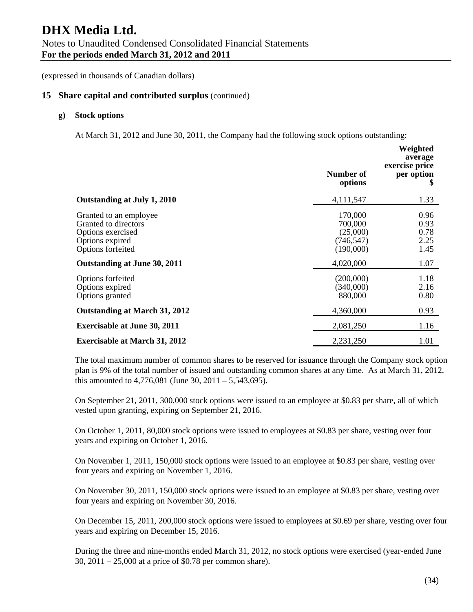(expressed in thousands of Canadian dollars)

#### **15 Share capital and contributed surplus** (continued)

#### **g) Stock options**

At March 31, 2012 and June 30, 2011, the Company had the following stock options outstanding:

|                                                                                                             | Number of<br>options                                     | Weighted<br>average<br>exercise price<br>per option<br>\$ |
|-------------------------------------------------------------------------------------------------------------|----------------------------------------------------------|-----------------------------------------------------------|
| Outstanding at July 1, 2010                                                                                 | 4,111,547                                                | 1.33                                                      |
| Granted to an employee<br>Granted to directors<br>Options exercised<br>Options expired<br>Options forfeited | 170,000<br>700,000<br>(25,000)<br>(746,547)<br>(190,000) | 0.96<br>0.93<br>0.78<br>2.25<br>1.45                      |
| Outstanding at June 30, 2011                                                                                | 4,020,000                                                | 1.07                                                      |
| Options forfeited<br>Options expired<br>Options granted                                                     | (200,000)<br>(340,000)<br>880,000                        | 1.18<br>2.16<br>0.80                                      |
| Outstanding at March 31, 2012                                                                               | 4,360,000                                                | 0.93                                                      |
| <b>Exercisable at June 30, 2011</b>                                                                         | 2,081,250                                                | 1.16                                                      |
| <b>Exercisable at March 31, 2012</b>                                                                        | 2,231,250                                                | 1.01                                                      |

The total maximum number of common shares to be reserved for issuance through the Company stock option plan is 9% of the total number of issued and outstanding common shares at any time. As at March 31, 2012, this amounted to  $4,776,081$  (June 30,  $2011 - 5,543,695$ ).

On September 21, 2011, 300,000 stock options were issued to an employee at \$0.83 per share, all of which vested upon granting, expiring on September 21, 2016.

On October 1, 2011, 80,000 stock options were issued to employees at \$0.83 per share, vesting over four years and expiring on October 1, 2016.

On November 1, 2011, 150,000 stock options were issued to an employee at \$0.83 per share, vesting over four years and expiring on November 1, 2016.

On November 30, 2011, 150,000 stock options were issued to an employee at \$0.83 per share, vesting over four years and expiring on November 30, 2016.

On December 15, 2011, 200,000 stock options were issued to employees at \$0.69 per share, vesting over four years and expiring on December 15, 2016.

During the three and nine-months ended March 31, 2012, no stock options were exercised (year-ended June 30, 2011 – 25,000 at a price of \$0.78 per common share).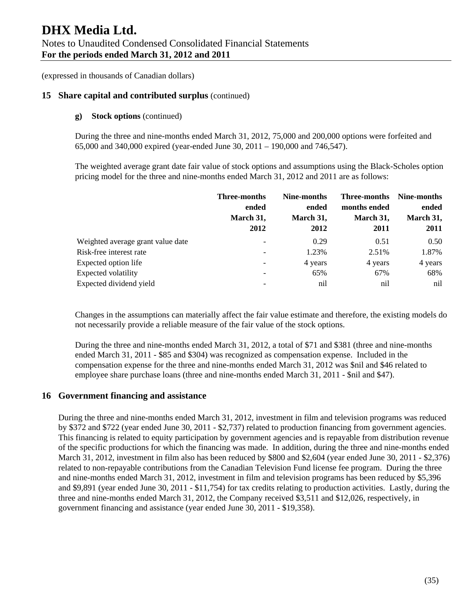## **15 Share capital and contributed surplus** (continued)

#### **g) Stock options** (continued)

During the three and nine-months ended March 31, 2012, 75,000 and 200,000 options were forfeited and 65,000 and 340,000 expired (year-ended June 30, 2011 – 190,000 and 746,547).

The weighted average grant date fair value of stock options and assumptions using the Black-Scholes option pricing model for the three and nine-months ended March 31, 2012 and 2011 are as follows:

|                                   | <b>Three-months</b><br>ended<br>March 31,<br>2012 | Nine-months<br>ended<br>March 31,<br>2012 | <b>Three-months</b><br>months ended<br>March 31,<br>2011 | Nine-months<br>ended<br>March 31,<br>2011 |
|-----------------------------------|---------------------------------------------------|-------------------------------------------|----------------------------------------------------------|-------------------------------------------|
| Weighted average grant value date | -                                                 | 0.29                                      | 0.51                                                     | 0.50                                      |
| Risk-free interest rate           | -                                                 | 1.23%                                     | 2.51%                                                    | 1.87%                                     |
| Expected option life              | -                                                 | 4 years                                   | 4 years                                                  | 4 years                                   |
| <b>Expected volatility</b>        | -                                                 | 65%                                       | 67%                                                      | 68%                                       |
| Expected dividend yield           |                                                   | nil                                       | nil                                                      | nil                                       |

Changes in the assumptions can materially affect the fair value estimate and therefore, the existing models do not necessarily provide a reliable measure of the fair value of the stock options.

During the three and nine-months ended March 31, 2012, a total of \$71 and \$381 (three and nine-months ended March 31, 2011 - \$85 and \$304) was recognized as compensation expense. Included in the compensation expense for the three and nine-months ended March 31, 2012 was \$nil and \$46 related to employee share purchase loans (three and nine-months ended March 31, 2011 - \$nil and \$47).

## **16 Government financing and assistance**

During the three and nine-months ended March 31, 2012, investment in film and television programs was reduced by \$372 and \$722 (year ended June 30, 2011 - \$2,737) related to production financing from government agencies. This financing is related to equity participation by government agencies and is repayable from distribution revenue of the specific productions for which the financing was made. In addition, during the three and nine-months ended March 31, 2012, investment in film also has been reduced by \$800 and \$2,604 (year ended June 30, 2011 - \$2,376) related to non-repayable contributions from the Canadian Television Fund license fee program. During the three and nine-months ended March 31, 2012, investment in film and television programs has been reduced by \$5,396 and \$9,891 (year ended June 30, 2011 - \$11,754) for tax credits relating to production activities. Lastly, during the three and nine-months ended March 31, 2012, the Company received \$3,511 and \$12,026, respectively, in government financing and assistance (year ended June 30, 2011 - \$19,358).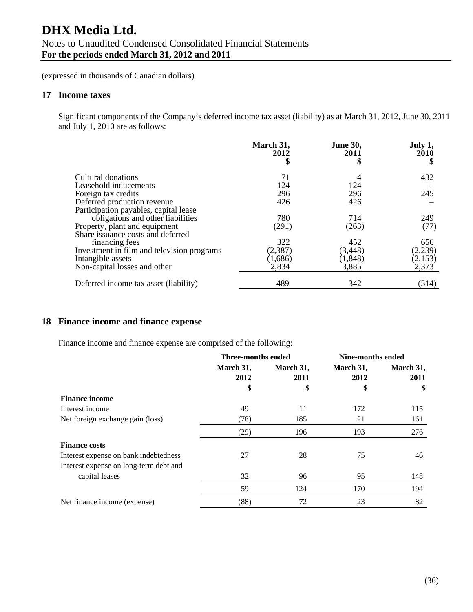(expressed in thousands of Canadian dollars)

### **17 Income taxes**

Significant components of the Company's deferred income tax asset (liability) as at March 31, 2012, June 30, 2011 and July 1, 2010 are as follows:

|                                            | March 31,<br>2012 | <b>June 30,</b><br>2011 | July 1,<br>2010 |
|--------------------------------------------|-------------------|-------------------------|-----------------|
|                                            |                   | \$                      |                 |
| Cultural donations                         | 71                | 4                       | 432             |
| Leasehold inducements                      | 124               | 124                     |                 |
| Foreign tax credits                        | 296               | 296                     | 245             |
| Deferred production revenue                | 426               | 426                     |                 |
| Participation payables, capital lease      |                   |                         |                 |
| obligations and other liabilities          | 780               | 714                     | 249             |
| Property, plant and equipment              | (291)             | (263)                   | (77)            |
| Share issuance costs and deferred          |                   |                         |                 |
| financing fees                             | 322               | 452                     | 656             |
| Investment in film and television programs | (2, 387)          | (3, 448)                | (2,239)         |
| Intangible assets                          | (1,686)           | (1, 848)                | (2,153)         |
| Non-capital losses and other               | 2,834             | 3,885                   | 2,373           |
| Deferred income tax asset (liability)      | 489               | 342                     | (514)           |

# **18 Finance income and finance expense**

Finance income and finance expense are comprised of the following:

|                                        | <b>Three-months ended</b> |           | <b>Nine-months ended</b> |           |
|----------------------------------------|---------------------------|-----------|--------------------------|-----------|
|                                        | March 31,                 | March 31, | March 31,                | March 31, |
|                                        | 2012                      | 2011      | 2012                     | 2011      |
|                                        | \$                        | \$        | \$                       | \$        |
| <b>Finance income</b>                  |                           |           |                          |           |
| Interest income                        | 49                        | 11        | 172                      | 115       |
| Net foreign exchange gain (loss)       | (78)                      | 185       | 21                       | 161       |
|                                        | (29)                      | 196       | 193                      | 276       |
| <b>Finance costs</b>                   |                           |           |                          |           |
| Interest expense on bank indebtedness  | 27                        | 28        | 75                       | 46        |
| Interest expense on long-term debt and |                           |           |                          |           |
| capital leases                         | 32                        | 96        | 95                       | 148       |
|                                        | 59                        | 124       | 170                      | 194       |
| Net finance income (expense)           | (88)                      | 72        | 23                       | 82        |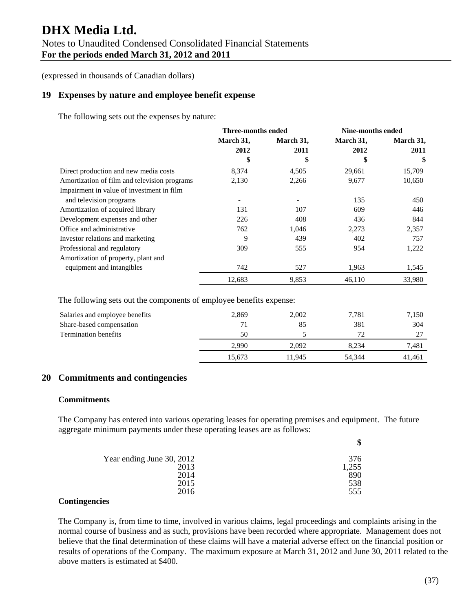(expressed in thousands of Canadian dollars)

## **19 Expenses by nature and employee benefit expense**

The following sets out the expenses by nature:

|                                              | <b>Three-months ended</b> |                          | Nine-months ended |           |
|----------------------------------------------|---------------------------|--------------------------|-------------------|-----------|
|                                              | March 31,                 | March 31,                | March 31,         | March 31, |
|                                              | 2012                      | 2011                     | 2012              | 2011      |
|                                              | \$                        | \$                       | \$                | \$        |
| Direct production and new media costs        | 8,374                     | 4,505                    | 29,661            | 15,709    |
| Amortization of film and television programs | 2,130                     | 2,266                    | 9,677             | 10,650    |
| Impairment in value of investment in film    |                           |                          |                   |           |
| and television programs                      |                           | $\overline{\phantom{a}}$ | 135               | 450       |
| Amortization of acquired library             | 131                       | 107                      | 609               | 446       |
| Development expenses and other               | 226                       | 408                      | 436               | 844       |
| Office and administrative                    | 762                       | 1,046                    | 2,273             | 2,357     |
| Investor relations and marketing             | 9                         | 439                      | 402               | 757       |
| Professional and regulatory                  | 309                       | 555                      | 954               | 1,222     |
| Amortization of property, plant and          |                           |                          |                   |           |
| equipment and intangibles                    | 742                       | 527                      | 1,963             | 1,545     |
|                                              | 12,683                    | 9,853                    | 46,110            | 33,980    |

The following sets out the components of employee benefits expense:

| Salaries and employee benefits | 2,869  | 2,002  | 7,781  | 7,150  |
|--------------------------------|--------|--------|--------|--------|
| Share-based compensation       | 71     | 85     | 381    | 304    |
| <b>Termination benefits</b>    | 50     |        | 72.    | つワ     |
|                                | 2.990  | 2.092  | 8.234  | 7,481  |
|                                | 15.673 | 11.945 | 54.344 | 41,461 |

## **20 Commitments and contingencies**

#### **Commitments**

The Company has entered into various operating leases for operating premises and equipment. The future aggregate minimum payments under these operating leases are as follows:

| Year ending June 30, 2012 | 376   |
|---------------------------|-------|
| 2013                      | 1,255 |
| 2014                      | 890   |
| 2015                      | 538   |
| 2016                      | 555   |

#### **Contingencies**

The Company is, from time to time, involved in various claims, legal proceedings and complaints arising in the normal course of business and as such, provisions have been recorded where appropriate. Management does not believe that the final determination of these claims will have a material adverse effect on the financial position or results of operations of the Company. The maximum exposure at March 31, 2012 and June 30, 2011 related to the above matters is estimated at \$400.

**\$**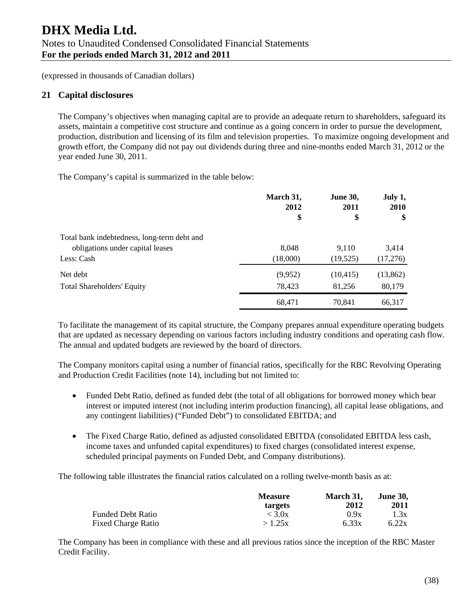# **21 Capital disclosures**

The Company's objectives when managing capital are to provide an adequate return to shareholders, safeguard its assets, maintain a competitive cost structure and continue as a going concern in order to pursue the development, production, distribution and licensing of its film and television properties. To maximize ongoing development and growth effort, the Company did not pay out dividends during three and nine-months ended March 31, 2012 or the year ended June 30, 2011.

The Company's capital is summarized in the table below:

|                                             | March 31,<br>2012 | <b>June 30,</b><br>2011 | July 1,<br><b>2010</b> |
|---------------------------------------------|-------------------|-------------------------|------------------------|
|                                             | \$                | \$                      | \$                     |
| Total bank indebtedness, long-term debt and |                   |                         |                        |
| obligations under capital leases            | 8,048             | 9,110                   | 3,414                  |
| Less: Cash                                  | (18,000)          | (19, 525)               | (17,276)               |
| Net debt                                    | (9,952)           | (10, 415)               | (13, 862)              |
| <b>Total Shareholders' Equity</b>           | 78,423            | 81,256                  | 80,179                 |
|                                             | 68,471            | 70,841                  | 66,317                 |

To facilitate the management of its capital structure, the Company prepares annual expenditure operating budgets that are updated as necessary depending on various factors including industry conditions and operating cash flow. The annual and updated budgets are reviewed by the board of directors.

The Company monitors capital using a number of financial ratios, specifically for the RBC Revolving Operating and Production Credit Facilities (note 14), including but not limited to:

- Funded Debt Ratio, defined as funded debt (the total of all obligations for borrowed money which bear interest or imputed interest (not including interim production financing), all capital lease obligations, and any contingent liabilities) ("Funded Debt") to consolidated EBITDA; and
- The Fixed Charge Ratio, defined as adjusted consolidated EBITDA (consolidated EBITDA less cash, income taxes and unfunded capital expenditures) to fixed charges (consolidated interest expense, scheduled principal payments on Funded Debt, and Company distributions).

The following table illustrates the financial ratios calculated on a rolling twelve-month basis as at:

|                           | <b>Measure</b><br>targets | March 31.<br>2012 | <b>June 30,</b><br>2011 |
|---------------------------|---------------------------|-------------------|-------------------------|
| <b>Funded Debt Ratio</b>  | < 3.0x                    | 0.9x              | 1.3x                    |
| <b>Fixed Charge Ratio</b> | >1.25x                    | 6.33x             | 6.22x                   |

The Company has been in compliance with these and all previous ratios since the inception of the RBC Master Credit Facility.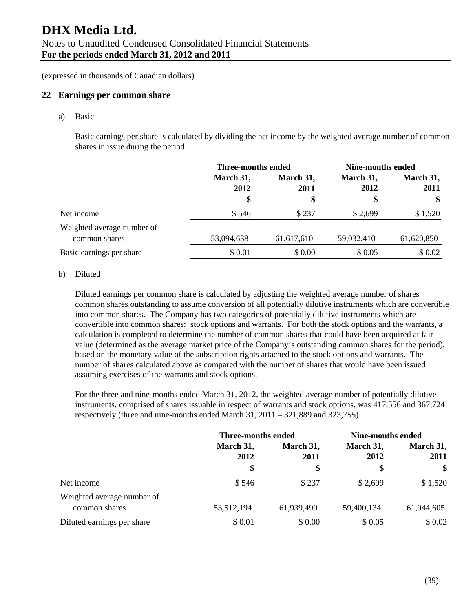(expressed in thousands of Canadian dollars)

#### **22 Earnings per common share**

a) Basic

Basic earnings per share is calculated by dividing the net income by the weighted average number of common shares in issue during the period.

|                            | <b>Three-months ended</b> |                   | <b>Nine-months ended</b> |                   |
|----------------------------|---------------------------|-------------------|--------------------------|-------------------|
|                            | March 31,<br>2012         | March 31,<br>2011 | March 31,<br>2012        | March 31,<br>2011 |
|                            | \$                        | \$                | \$                       | $\mathbf{\$}$     |
| Net income                 | \$546                     | \$237             | \$2,699                  | \$1,520           |
| Weighted average number of |                           |                   |                          |                   |
| common shares              | 53,094,638                | 61,617,610        | 59,032,410               | 61,620,850        |
| Basic earnings per share   | \$0.01                    | \$0.00            | \$ 0.05                  | \$0.02            |

#### b) Diluted

Diluted earnings per common share is calculated by adjusting the weighted average number of shares common shares outstanding to assume conversion of all potentially dilutive instruments which are convertible into common shares. The Company has two categories of potentially dilutive instruments which are convertible into common shares: stock options and warrants. For both the stock options and the warrants, a calculation is completed to determine the number of common shares that could have been acquired at fair value (determined as the average market price of the Company's outstanding common shares for the period), based on the monetary value of the subscription rights attached to the stock options and warrants. The number of shares calculated above as compared with the number of shares that would have been issued assuming exercises of the warrants and stock options.

For the three and nine-months ended March 31, 2012, the weighted average number of potentially dilutive instruments, comprised of shares issuable in respect of warrants and stock options, was 417,556 and 367,724 respectively (three and nine-months ended March 31, 2011 – 321,889 and 323,755).

|                                             | Three-months ended |                   | Nine-months ended |                   |
|---------------------------------------------|--------------------|-------------------|-------------------|-------------------|
|                                             | March 31,<br>2012  | March 31,<br>2011 | March 31,<br>2012 | March 31,<br>2011 |
|                                             | \$                 | \$                | \$                | \$                |
| Net income                                  | \$546              | \$237             | \$2,699           | \$1,520           |
| Weighted average number of<br>common shares | 53,512,194         | 61,939,499        | 59,400,134        | 61,944,605        |
| Diluted earnings per share                  | \$0.01             | \$0.00            | \$0.05            | \$0.02            |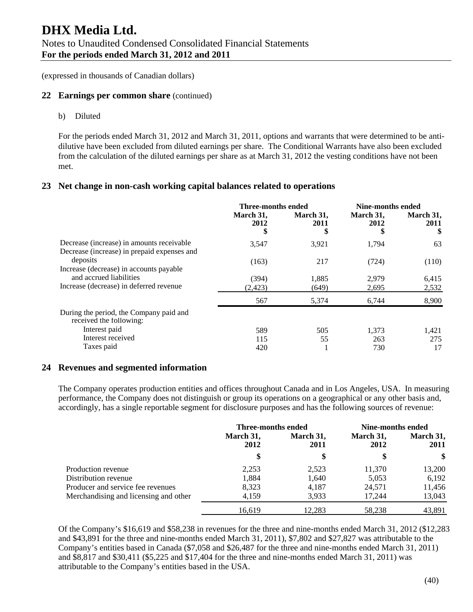#### **22 Earnings per common share** (continued)

b) Diluted

For the periods ended March 31, 2012 and March 31, 2011, options and warrants that were determined to be antidilutive have been excluded from diluted earnings per share. The Conditional Warrants have also been excluded from the calculation of the diluted earnings per share as at March 31, 2012 the vesting conditions have not been met.

#### **23 Net change in non-cash working capital balances related to operations**

|                                                                                          | Three-months ended      |                   |                   | Nine-months ended       |  |
|------------------------------------------------------------------------------------------|-------------------------|-------------------|-------------------|-------------------------|--|
|                                                                                          | March 31,<br>2012<br>\$ | March 31,<br>2011 | March 31,<br>2012 | March 31,<br>2011<br>\$ |  |
| Decrease (increase) in amounts receivable<br>Decrease (increase) in prepaid expenses and | 3,547                   | 3,921             | 1,794             | 63                      |  |
| deposits<br>Increase (decrease) in accounts payable                                      | (163)                   | 217               | (724)             | (110)                   |  |
| and accrued liabilities                                                                  | (394)                   | 1,885             | 2.979             | 6,415                   |  |
| Increase (decrease) in deferred revenue                                                  | (2.423)                 | (649)             | 2,695             | 2,532                   |  |
|                                                                                          | 567                     | 5,374             | 6,744             | 8,900                   |  |
| During the period, the Company paid and<br>received the following:                       |                         |                   |                   |                         |  |
| Interest paid                                                                            | 589                     | 505               | 1,373             | 1,421                   |  |
| Interest received                                                                        | 115                     | 55                | 263               | 275                     |  |
| Taxes paid                                                                               | 420                     |                   | 730               | 17                      |  |

#### **24 Revenues and segmented information**

The Company operates production entities and offices throughout Canada and in Los Angeles, USA. In measuring performance, the Company does not distinguish or group its operations on a geographical or any other basis and, accordingly, has a single reportable segment for disclosure purposes and has the following sources of revenue:

|                                       | Three-months ended |                   | Nine-months ended |                   |
|---------------------------------------|--------------------|-------------------|-------------------|-------------------|
|                                       | March 31,<br>2012  | March 31,<br>2011 | March 31,<br>2012 | March 31,<br>2011 |
|                                       |                    | \$                | \$                | \$                |
| Production revenue                    | 2,253              | 2,523             | 11,370            | 13,200            |
| Distribution revenue                  | 1.884              | 1,640             | 5,053             | 6,192             |
| Producer and service fee revenues     | 8,323              | 4,187             | 24,571            | 11,456            |
| Merchandising and licensing and other | 4,159              | 3,933             | 17.244            | 13,043            |
|                                       | 16.619             | 12.283            | 58,238            | 43,891            |

Of the Company's \$16,619 and \$58,238 in revenues for the three and nine-months ended March 31, 2012 (\$12,283 and \$43,891 for the three and nine-months ended March 31, 2011), \$7,802 and \$27,827 was attributable to the Company's entities based in Canada (\$7,058 and \$26,487 for the three and nine-months ended March 31, 2011) and \$8,817 and \$30,411 (\$5,225 and \$17,404 for the three and nine-months ended March 31, 2011) was attributable to the Company's entities based in the USA.